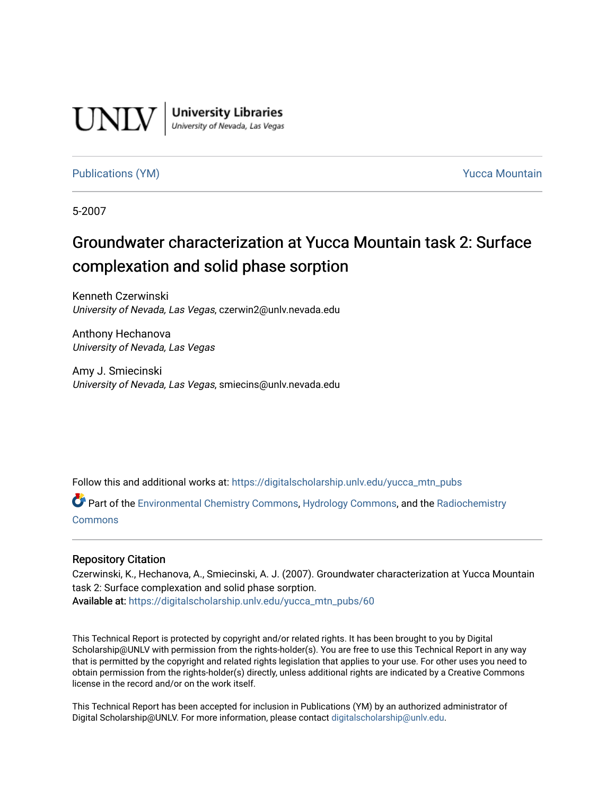

**University Libraries**<br>University of Nevada, Las Vegas

#### [Publications \(YM\)](https://digitalscholarship.unlv.edu/yucca_mtn_pubs) **Publications (YM) Publications (YM) Publications** (*YM*)

5-2007

# Groundwater characterization at Yucca Mountain task 2: Surface complexation and solid phase sorption

Kenneth Czerwinski University of Nevada, Las Vegas, czerwin2@unlv.nevada.edu

Anthony Hechanova University of Nevada, Las Vegas

Amy J. Smiecinski University of Nevada, Las Vegas, smiecins@unlv.nevada.edu

Follow this and additional works at: [https://digitalscholarship.unlv.edu/yucca\\_mtn\\_pubs](https://digitalscholarship.unlv.edu/yucca_mtn_pubs?utm_source=digitalscholarship.unlv.edu%2Fyucca_mtn_pubs%2F60&utm_medium=PDF&utm_campaign=PDFCoverPages)

Part of the [Environmental Chemistry Commons](http://network.bepress.com/hgg/discipline/134?utm_source=digitalscholarship.unlv.edu%2Fyucca_mtn_pubs%2F60&utm_medium=PDF&utm_campaign=PDFCoverPages), [Hydrology Commons](http://network.bepress.com/hgg/discipline/1054?utm_source=digitalscholarship.unlv.edu%2Fyucca_mtn_pubs%2F60&utm_medium=PDF&utm_campaign=PDFCoverPages), and the [Radiochemistry](http://network.bepress.com/hgg/discipline/1196?utm_source=digitalscholarship.unlv.edu%2Fyucca_mtn_pubs%2F60&utm_medium=PDF&utm_campaign=PDFCoverPages) [Commons](http://network.bepress.com/hgg/discipline/1196?utm_source=digitalscholarship.unlv.edu%2Fyucca_mtn_pubs%2F60&utm_medium=PDF&utm_campaign=PDFCoverPages)

#### Repository Citation

Czerwinski, K., Hechanova, A., Smiecinski, A. J. (2007). Groundwater characterization at Yucca Mountain task 2: Surface complexation and solid phase sorption. Available at: [https://digitalscholarship.unlv.edu/yucca\\_mtn\\_pubs/60](https://digitalscholarship.unlv.edu/yucca_mtn_pubs/60) 

This Technical Report is protected by copyright and/or related rights. It has been brought to you by Digital Scholarship@UNLV with permission from the rights-holder(s). You are free to use this Technical Report in any way that is permitted by the copyright and related rights legislation that applies to your use. For other uses you need to obtain permission from the rights-holder(s) directly, unless additional rights are indicated by a Creative Commons license in the record and/or on the work itself.

This Technical Report has been accepted for inclusion in Publications (YM) by an authorized administrator of Digital Scholarship@UNLV. For more information, please contact [digitalscholarship@unlv.edu](mailto:digitalscholarship@unlv.edu).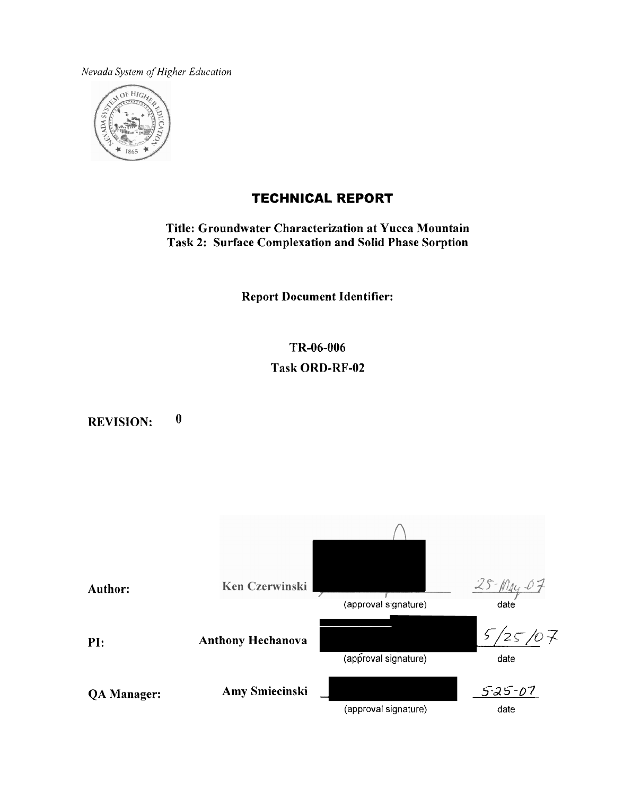*Nevada* Syslern **of** *Higher Education* 



# **TECHNICAL REPORT**

**Title: Groundwater Characterization at Yucca Mountain Task 2: Surface Complexation and Solid Phase Sorption** 

**Report Document Identifier:** 

**TR-06-006 Task ORD-RF-02** 

**REVISION: 0** 

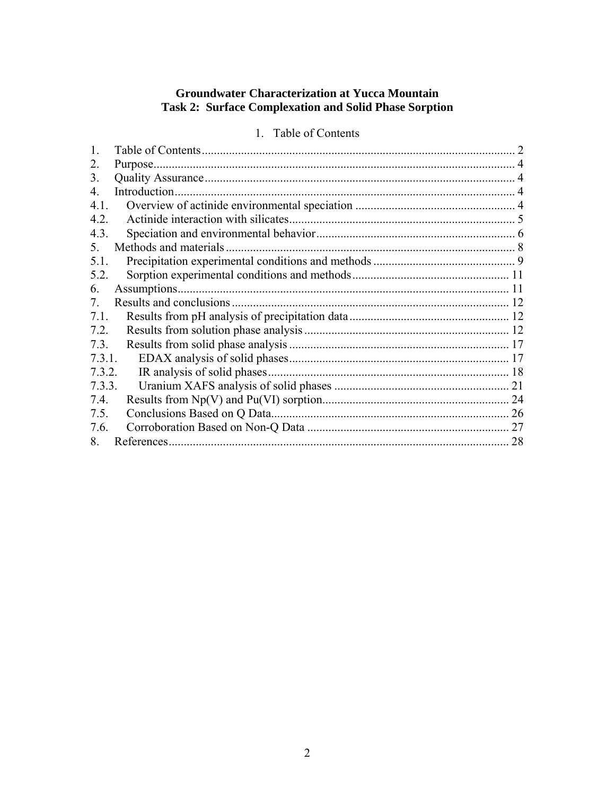# **Groundwater Characterization at Yucca Mountain** Task 2: Surface Complexation and Solid Phase Sorption

# 1. Table of Contents

| 2.     |                        |    |
|--------|------------------------|----|
| 3.     |                        |    |
| 4      | Introduction           |    |
| 4.1.   |                        |    |
| 4.2.   |                        |    |
| 4.3.   |                        |    |
| 5.     | Methods and materials. |    |
| 5.1.   |                        |    |
| 5.2.   |                        |    |
| 6.     |                        |    |
| 7      |                        |    |
| 7.1.   |                        |    |
| 7.2.   |                        |    |
| 7.3.   |                        |    |
| 7.3.1. |                        |    |
| 7.3.2. |                        |    |
| 7.3.3. |                        |    |
| 7.4.   |                        |    |
| 7.5.   |                        |    |
| 7.6.   |                        |    |
| 8      |                        | 28 |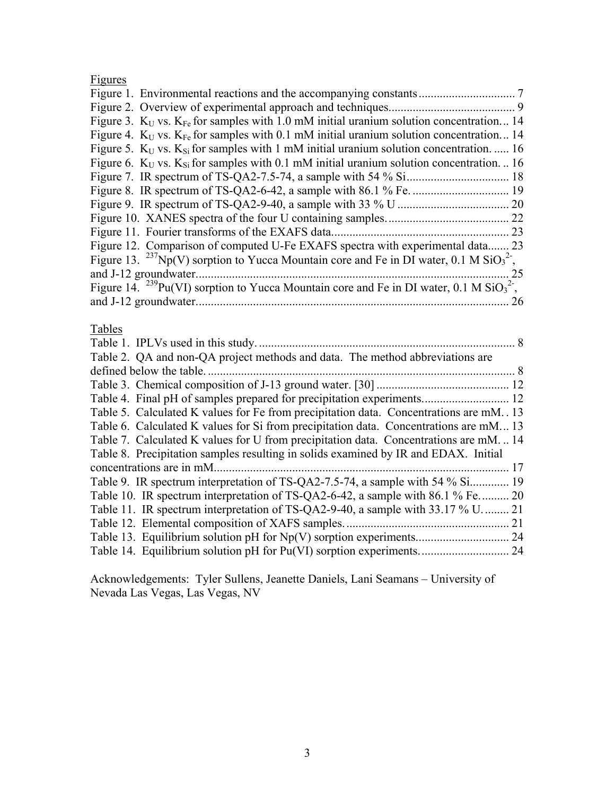# Figures

|                                                                                                                            | 7  |
|----------------------------------------------------------------------------------------------------------------------------|----|
|                                                                                                                            |    |
| Figure 3. $K_{U}$ vs. $K_{Fe}$ for samples with 1.0 mM initial uranium solution concentration 14                           |    |
| Figure 4. $K_{U}$ vs. $K_{Fe}$ for samples with 0.1 mM initial uranium solution concentration 14                           |    |
| Figure 5. $K_{U}$ vs. $K_{Si}$ for samples with 1 mM initial uranium solution concentration.  16                           |    |
| Figure 6. $K_{U}$ vs. $K_{Si}$ for samples with 0.1 mM initial uranium solution concentration.  16                         |    |
|                                                                                                                            |    |
|                                                                                                                            |    |
|                                                                                                                            |    |
| .22                                                                                                                        |    |
| Figure 11. Fourier transforms of the EXAFS data.                                                                           | 23 |
| Figure 12. Comparison of computed U-Fe EXAFS spectra with experimental data.<br>. 23                                       |    |
| Figure 13. <sup>237</sup> Np(V) sorption to Yucca Mountain core and Fe in DI water, 0.1 M SiO <sub>3</sub> <sup>2</sup> ,  |    |
| and J-12 groundwater.                                                                                                      | 25 |
| Figure 14. <sup>239</sup> Pu(VI) sorption to Yucca Mountain core and Fe in DI water, 0.1 M SiO <sub>3</sub> <sup>2</sup> , |    |
|                                                                                                                            | 26 |

# Tables

| Table 2. QA and non-QA project methods and data. The method abbreviations are          |      |
|----------------------------------------------------------------------------------------|------|
| defined below the table.                                                               |      |
|                                                                                        |      |
|                                                                                        |      |
| Table 5. Calculated K values for Fe from precipitation data. Concentrations are mM. 13 |      |
| Table 6. Calculated K values for Si from precipitation data. Concentrations are mM 13  |      |
| Table 7. Calculated K values for U from precipitation data. Concentrations are mM14    |      |
| Table 8. Precipitation samples resulting in solids examined by IR and EDAX. Initial    |      |
| concentrations are in mM.                                                              | 17   |
| Table 9. IR spectrum interpretation of TS-QA2-7.5-74, a sample with 54 % Si            | . 19 |
| Table 10. IR spectrum interpretation of TS-QA2-6-42, a sample with 86.1 % Fe 20        |      |
| Table 11. IR spectrum interpretation of TS-QA2-9-40, a sample with 33.17 % U           | 21   |
|                                                                                        | 21   |
|                                                                                        |      |
|                                                                                        |      |
|                                                                                        |      |

Acknowledgements: Tyler Sullens, Jeanette Daniels, Lani Seamans – University of Nevada Las Vegas, Las Vegas, NV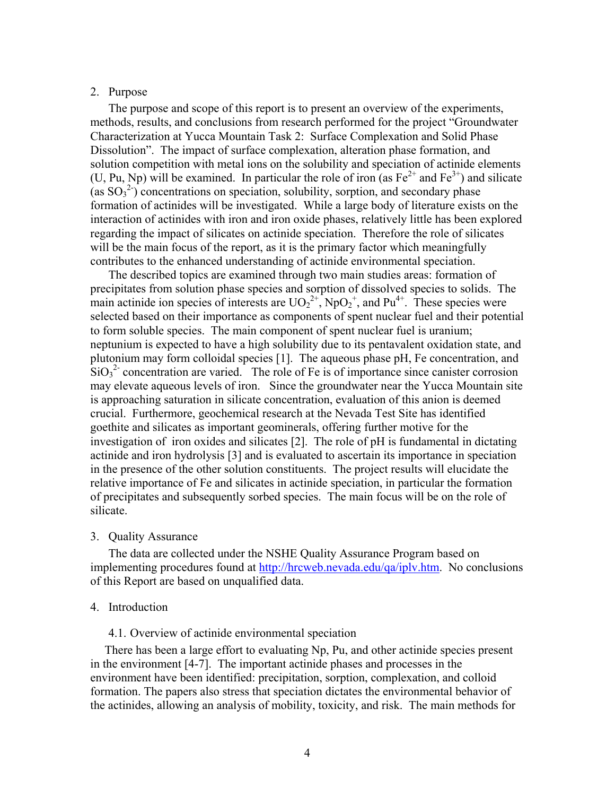#### 2. Purpose

The purpose and scope of this report is to present an overview of the experiments, methods, results, and conclusions from research performed for the project "Groundwater Characterization at Yucca Mountain Task 2: Surface Complexation and Solid Phase Dissolution". The impact of surface complexation, alteration phase formation, and solution competition with metal ions on the solubility and speciation of actinide elements (U, Pu, Np) will be examined. In particular the role of iron (as  $Fe^{2+}$  and  $Fe^{3+}$ ) and silicate (as  ${SO_3}^2$ ) concentrations on speciation, solubility, sorption, and secondary phase formation of actinides will be investigated. While a large body of literature exists on the interaction of actinides with iron and iron oxide phases, relatively little has been explored regarding the impact of silicates on actinide speciation. Therefore the role of silicates will be the main focus of the report, as it is the primary factor which meaningfully contributes to the enhanced understanding of actinide environmental speciation.

The described topics are examined through two main studies areas: formation of precipitates from solution phase species and sorption of dissolved species to solids. The main actinide ion species of interests are  $UO_2^{2+}$ , NpO<sub>2</sub><sup>+</sup>, and Pu<sup>4+</sup>. These species were selected based on their importance as components of spent nuclear fuel and their potential to form soluble species. The main component of spent nuclear fuel is uranium; neptunium is expected to have a high solubility due to its pentavalent oxidation state, and plutonium may form colloidal species [1]. The aqueous phase pH, Fe concentration, and  $\text{SiO}_3^2$  concentration are varied. The role of Fe is of importance since canister corrosion may elevate aqueous levels of iron. Since the groundwater near the Yucca Mountain site is approaching saturation in silicate concentration, evaluation of this anion is deemed crucial. Furthermore, geochemical research at the Nevada Test Site has identified goethite and silicates as important geominerals, offering further motive for the investigation of iron oxides and silicates [2]. The role of pH is fundamental in dictating actinide and iron hydrolysis [3] and is evaluated to ascertain its importance in speciation in the presence of the other solution constituents. The project results will elucidate the relative importance of Fe and silicates in actinide speciation, in particular the formation of precipitates and subsequently sorbed species. The main focus will be on the role of silicate.

3. Quality Assurance

The data are collected under the NSHE Quality Assurance Program based on implementing procedures found at http://hrcweb.nevada.edu/qa/iplv.htm. No conclusions of this Report are based on unqualified data.

#### 4. Introduction

4.1. Overview of actinide environmental speciation

There has been a large effort to evaluating Np, Pu, and other actinide species present in the environment [4-7]. The important actinide phases and processes in the environment have been identified: precipitation, sorption, complexation, and colloid formation. The papers also stress that speciation dictates the environmental behavior of the actinides, allowing an analysis of mobility, toxicity, and risk. The main methods for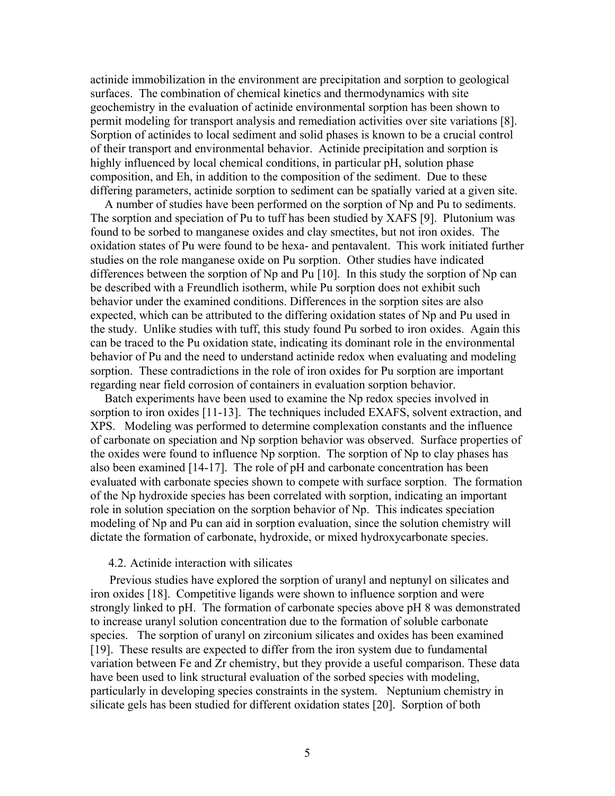actinide immobilization in the environment are precipitation and sorption to geological surfaces. The combination of chemical kinetics and thermodynamics with site geochemistry in the evaluation of actinide environmental sorption has been shown to permit modeling for transport analysis and remediation activities over site variations [8]. Sorption of actinides to local sediment and solid phases is known to be a crucial control of their transport and environmental behavior. Actinide precipitation and sorption is highly influenced by local chemical conditions, in particular pH, solution phase composition, and Eh, in addition to the composition of the sediment. Due to these differing parameters, actinide sorption to sediment can be spatially varied at a given site.

A number of studies have been performed on the sorption of Np and Pu to sediments. The sorption and speciation of Pu to tuff has been studied by XAFS [9]. Plutonium was found to be sorbed to manganese oxides and clay smectites, but not iron oxides. The oxidation states of Pu were found to be hexa- and pentavalent. This work initiated further studies on the role manganese oxide on Pu sorption. Other studies have indicated differences between the sorption of Np and Pu [10]. In this study the sorption of Np can be described with a Freundlich isotherm, while Pu sorption does not exhibit such behavior under the examined conditions. Differences in the sorption sites are also expected, which can be attributed to the differing oxidation states of Np and Pu used in the study. Unlike studies with tuff, this study found Pu sorbed to iron oxides. Again this can be traced to the Pu oxidation state, indicating its dominant role in the environmental behavior of Pu and the need to understand actinide redox when evaluating and modeling sorption. These contradictions in the role of iron oxides for Pu sorption are important regarding near field corrosion of containers in evaluation sorption behavior.

Batch experiments have been used to examine the Np redox species involved in sorption to iron oxides [11-13]. The techniques included EXAFS, solvent extraction, and XPS. Modeling was performed to determine complexation constants and the influence of carbonate on speciation and Np sorption behavior was observed. Surface properties of the oxides were found to influence Np sorption. The sorption of Np to clay phases has also been examined [14-17]. The role of pH and carbonate concentration has been evaluated with carbonate species shown to compete with surface sorption. The formation of the Np hydroxide species has been correlated with sorption, indicating an important role in solution speciation on the sorption behavior of Np. This indicates speciation modeling of Np and Pu can aid in sorption evaluation, since the solution chemistry will dictate the formation of carbonate, hydroxide, or mixed hydroxycarbonate species.

#### 4.2. Actinide interaction with silicates

 Previous studies have explored the sorption of uranyl and neptunyl on silicates and iron oxides [18]. Competitive ligands were shown to influence sorption and were strongly linked to pH. The formation of carbonate species above pH 8 was demonstrated to increase uranyl solution concentration due to the formation of soluble carbonate species. The sorption of uranyl on zirconium silicates and oxides has been examined [19]. These results are expected to differ from the iron system due to fundamental variation between Fe and Zr chemistry, but they provide a useful comparison. These data have been used to link structural evaluation of the sorbed species with modeling, particularly in developing species constraints in the system. Neptunium chemistry in silicate gels has been studied for different oxidation states [20]. Sorption of both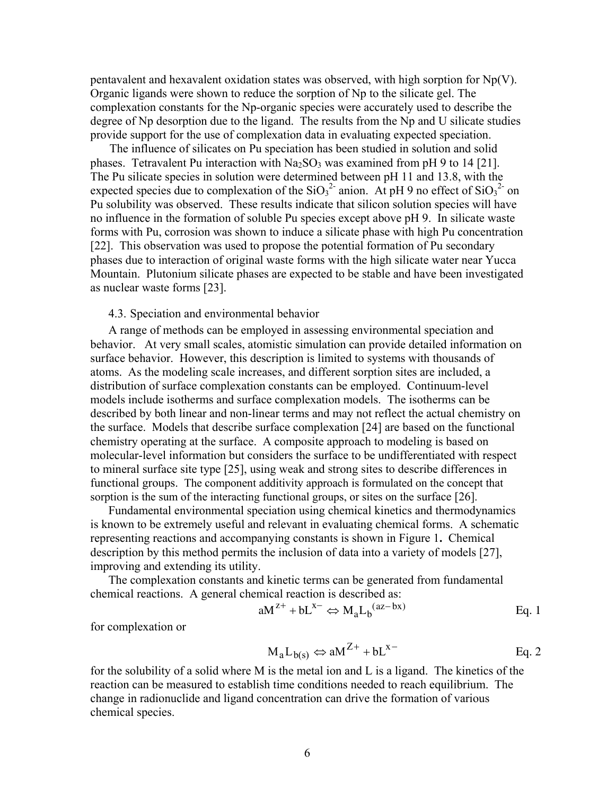pentavalent and hexavalent oxidation states was observed, with high sorption for  $Np(V)$ . Organic ligands were shown to reduce the sorption of Np to the silicate gel. The complexation constants for the Np-organic species were accurately used to describe the degree of Np desorption due to the ligand. The results from the Np and U silicate studies provide support for the use of complexation data in evaluating expected speciation.

 The influence of silicates on Pu speciation has been studied in solution and solid phases. Tetravalent Pu interaction with  $Na<sub>2</sub>SO<sub>3</sub>$  was examined from pH 9 to 14 [21]. The Pu silicate species in solution were determined between pH 11 and 13.8, with the expected species due to complexation of the  $SiO<sub>3</sub><sup>2</sup>$  anion. At pH 9 no effect of  $SiO<sub>3</sub><sup>2</sup>$  on Pu solubility was observed. These results indicate that silicon solution species will have no influence in the formation of soluble Pu species except above pH 9. In silicate waste forms with Pu, corrosion was shown to induce a silicate phase with high Pu concentration [22]. This observation was used to propose the potential formation of Pu secondary phases due to interaction of original waste forms with the high silicate water near Yucca Mountain. Plutonium silicate phases are expected to be stable and have been investigated as nuclear waste forms [23].

#### 4.3. Speciation and environmental behavior

 A range of methods can be employed in assessing environmental speciation and behavior. At very small scales, atomistic simulation can provide detailed information on surface behavior. However, this description is limited to systems with thousands of atoms. As the modeling scale increases, and different sorption sites are included, a distribution of surface complexation constants can be employed. Continuum-level models include isotherms and surface complexation models. The isotherms can be described by both linear and non-linear terms and may not reflect the actual chemistry on the surface. Models that describe surface complexation [24] are based on the functional chemistry operating at the surface. A composite approach to modeling is based on molecular-level information but considers the surface to be undifferentiated with respect to mineral surface site type [25], using weak and strong sites to describe differences in functional groups. The component additivity approach is formulated on the concept that sorption is the sum of the interacting functional groups, or sites on the surface [26].

Fundamental environmental speciation using chemical kinetics and thermodynamics is known to be extremely useful and relevant in evaluating chemical forms. A schematic representing reactions and accompanying constants is shown in Figure 1**.** Chemical description by this method permits the inclusion of data into a variety of models [27], improving and extending its utility.

The complexation constants and kinetic terms can be generated from fundamental chemical reactions. A general chemical reaction is described as:

$$
aM^{z+} + bL^{x-} \Leftrightarrow M_aL_b^{(az-bx)}
$$
 Eq. 1

for complexation or

$$
M_a L_{b(s)} \Leftrightarrow aM^{Z+} + bL^{x-}
$$
 Eq. 2

for the solubility of a solid where M is the metal ion and L is a ligand. The kinetics of the reaction can be measured to establish time conditions needed to reach equilibrium. The change in radionuclide and ligand concentration can drive the formation of various chemical species.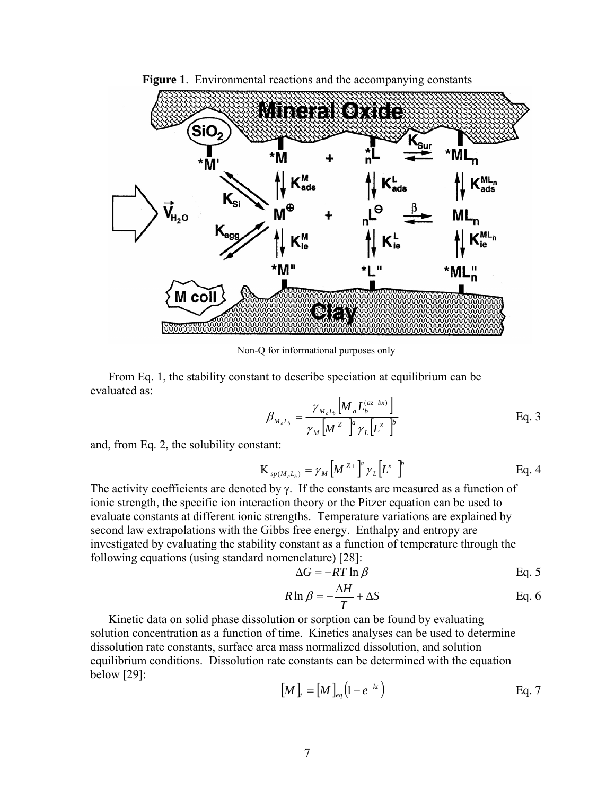

**Figure 1.** Environmental reactions and the accompanying constants

Non-Q for informational purposes only

From Eq. 1, the stability constant to describe speciation at equilibrium can be evaluated as:

$$
\beta_{M_a L_b} = \frac{\gamma_{M_a L_b} \left[ M_a L_b^{(az-bx)} \right]}{\gamma_M \left[ M^{z+1} \right]^a \gamma_L \left[ L^{x-1} \right]^b}
$$
 Eq. 3

and, from Eq. 2, the solubility constant:

$$
K_{sp(M_aL_b)} = \gamma_M \left[ M^{Z+} \right]^a \gamma_L \left[ L^{x-} \right]^b \qquad \qquad Eq. 4
$$

The activity coefficients are denoted by  $\gamma$ . If the constants are measured as a function of ionic strength, the specific ion interaction theory or the Pitzer equation can be used to evaluate constants at different ionic strengths. Temperature variations are explained by second law extrapolations with the Gibbs free energy. Enthalpy and entropy are investigated by evaluating the stability constant as a function of temperature through the following equations (using standard nomenclature) [28]:

$$
\Delta G = -RT \ln \beta \qquad \qquad \text{Eq. 5}
$$

$$
R \ln \beta = -\frac{\Delta H}{T} + \Delta S
$$
 Eq. 6

Kinetic data on solid phase dissolution or sorption can be found by evaluating solution concentration as a function of time. Kinetics analyses can be used to determine dissolution rate constants, surface area mass normalized dissolution, and solution equilibrium conditions. Dissolution rate constants can be determined with the equation below [29]:

$$
\left[M\right]_t = \left[M\right]_{eq}\left(1 - e^{-kt}\right) \tag{Eq. 7}
$$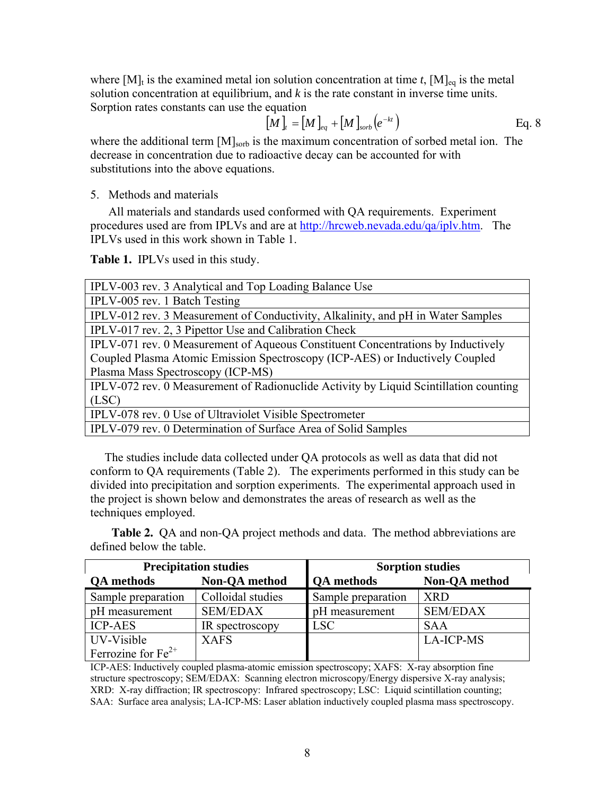where  $[M]_t$  is the examined metal ion solution concentration at time *t*,  $[M]_{eq}$  is the metal solution concentration at equilibrium, and *k* is the rate constant in inverse time units. Sorption rates constants can use the equation

$$
\begin{bmatrix} M \end{bmatrix}_{t} = \begin{bmatrix} M \end{bmatrix}_{eq} + \begin{bmatrix} M \end{bmatrix}_{sorb} \left( e^{-kt} \right)
$$
 Eq. 8

where the additional term  $[M]_{\text{sorb}}$  is the maximum concentration of sorbed metal ion. The decrease in concentration due to radioactive decay can be accounted for with substitutions into the above equations.

5. Methods and materials

All materials and standards used conformed with QA requirements. Experiment procedures used are from IPLVs and are at http://hrcweb.nevada.edu/qa/iplv.htm. The IPLVs used in this work shown in Table 1.

**Table 1.** IPLVs used in this study.

| IPLV-003 rev. 3 Analytical and Top Loading Balance Use                                |  |  |  |  |
|---------------------------------------------------------------------------------------|--|--|--|--|
| IPLV-005 rev. 1 Batch Testing                                                         |  |  |  |  |
| IPLV-012 rev. 3 Measurement of Conductivity, Alkalinity, and pH in Water Samples      |  |  |  |  |
| IPLV-017 rev. 2, 3 Pipettor Use and Calibration Check                                 |  |  |  |  |
| IPLV-071 rev. 0 Measurement of Aqueous Constituent Concentrations by Inductively      |  |  |  |  |
| Coupled Plasma Atomic Emission Spectroscopy (ICP-AES) or Inductively Coupled          |  |  |  |  |
| Plasma Mass Spectroscopy (ICP-MS)                                                     |  |  |  |  |
| IPLV-072 rev. 0 Measurement of Radionuclide Activity by Liquid Scintillation counting |  |  |  |  |
| (LSC)                                                                                 |  |  |  |  |
| IPLV-078 rev. 0 Use of Ultraviolet Visible Spectrometer                               |  |  |  |  |
| IPLV-079 rev. 0 Determination of Surface Area of Solid Samples                        |  |  |  |  |

The studies include data collected under QA protocols as well as data that did not conform to QA requirements (Table 2). The experiments performed in this study can be divided into precipitation and sorption experiments. The experimental approach used in the project is shown below and demonstrates the areas of research as well as the techniques employed.

**Table 2.** QA and non-QA project methods and data. The method abbreviations are defined below the table.

|                         | <b>Precipitation studies</b> | <b>Sorption studies</b> |                      |  |  |
|-------------------------|------------------------------|-------------------------|----------------------|--|--|
| <b>QA</b> methods       | <b>Non-QA</b> method         | <b>QA</b> methods       | <b>Non-QA</b> method |  |  |
| Sample preparation      | Colloidal studies            | Sample preparation      | <b>XRD</b>           |  |  |
| pH measurement          | <b>SEM/EDAX</b>              | pH measurement          | <b>SEM/EDAX</b>      |  |  |
| <b>ICP-AES</b>          | IR spectroscopy              | <b>LSC</b>              | <b>SAA</b>           |  |  |
| UV-Visible              | <b>XAFS</b>                  |                         | <b>LA-ICP-MS</b>     |  |  |
| Ferrozine for $Fe^{2+}$ |                              |                         |                      |  |  |

ICP-AES: Inductively coupled plasma-atomic emission spectroscopy; XAFS: X-ray absorption fine structure spectroscopy; SEM/EDAX: Scanning electron microscopy/Energy dispersive X-ray analysis; XRD: X-ray diffraction; IR spectroscopy: Infrared spectroscopy; LSC: Liquid scintillation counting; SAA: Surface area analysis; LA-ICP-MS: Laser ablation inductively coupled plasma mass spectroscopy.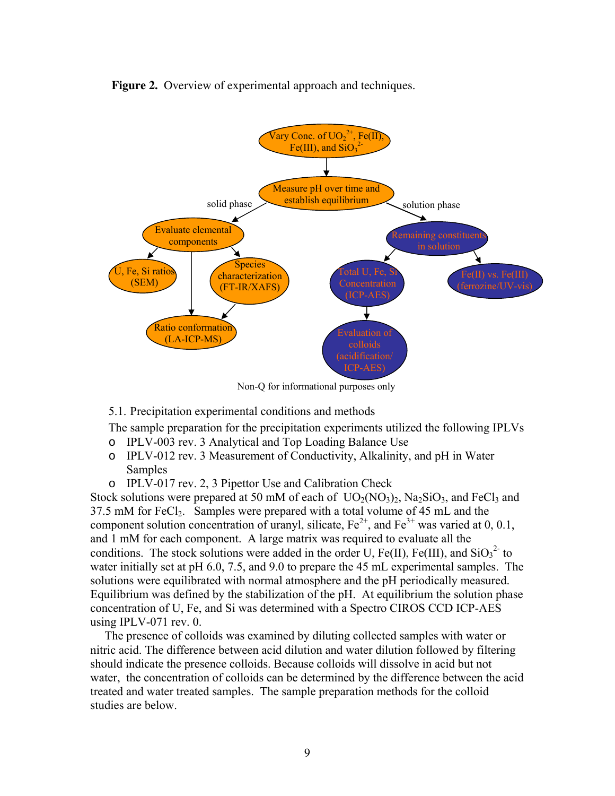Figure 2. Overview of experimental approach and techniques.



Non-Q for informational purposes only

5.1. Precipitation experimental conditions and methods

The sample preparation for the precipitation experiments utilized the following IPLVs

- o IPLV-003 rev. 3 Analytical and Top Loading Balance Use
- o IPLV-012 rev. 3 Measurement of Conductivity, Alkalinity, and pH in Water Samples
- o IPLV-017 rev. 2, 3 Pipettor Use and Calibration Check

Stock solutions were prepared at 50 mM of each of  $UO<sub>2</sub>(NO<sub>3</sub>)<sub>2</sub>$ , Na<sub>2</sub>SiO<sub>3</sub>, and FeCl<sub>3</sub> and 37.5 mM for FeCl<sub>2</sub>. Samples were prepared with a total volume of 45 mL and the component solution concentration of uranyl, silicate,  $Fe^{2+}$ , and  $Fe^{3+}$  was varied at 0, 0.1, and 1 mM for each component. A large matrix was required to evaluate all the conditions. The stock solutions were added in the order U, Fe(II), Fe(III), and  $SiO<sub>3</sub><sup>2</sup>$  to water initially set at pH 6.0, 7.5, and 9.0 to prepare the 45 mL experimental samples. The solutions were equilibrated with normal atmosphere and the pH periodically measured. Equilibrium was defined by the stabilization of the pH. At equilibrium the solution phase concentration of U, Fe, and Si was determined with a Spectro CIROS CCD ICP-AES using IPLV-071 rev. 0.

The presence of colloids was examined by diluting collected samples with water or nitric acid. The difference between acid dilution and water dilution followed by filtering should indicate the presence colloids. Because colloids will dissolve in acid but not water, the concentration of colloids can be determined by the difference between the acid treated and water treated samples. The sample preparation methods for the colloid studies are below.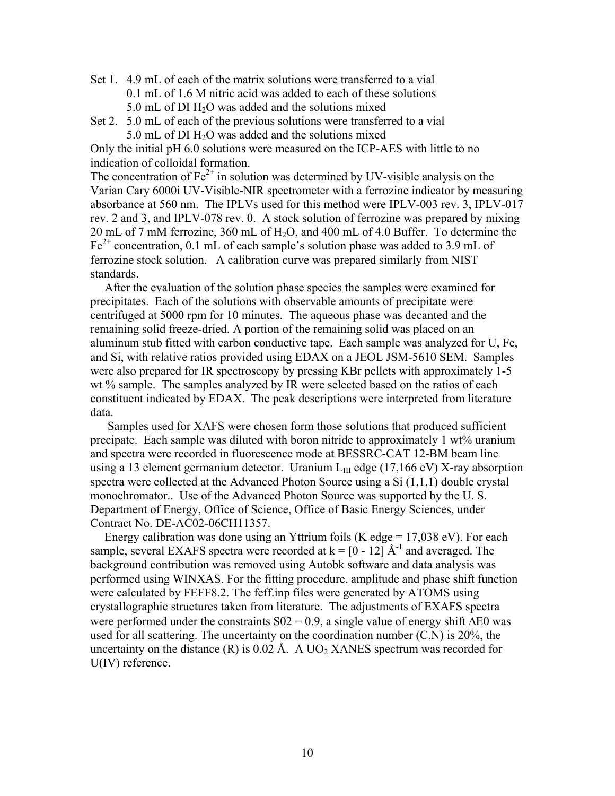- Set 1. 4.9 mL of each of the matrix solutions were transferred to a vial 0.1 mL of 1.6 M nitric acid was added to each of these solutions 5.0 mL of DI H<sub>2</sub>O was added and the solutions mixed
- Set 2. 5.0 mL of each of the previous solutions were transferred to a vial  $5.0$  mL of DI  $H<sub>2</sub>O$  was added and the solutions mixed

Only the initial pH 6.0 solutions were measured on the ICP-AES with little to no indication of colloidal formation.

The concentration of  $Fe^{2+}$  in solution was determined by UV-visible analysis on the Varian Cary 6000i UV-Visible-NIR spectrometer with a ferrozine indicator by measuring absorbance at 560 nm. The IPLVs used for this method were IPLV-003 rev. 3, IPLV-017 rev. 2 and 3, and IPLV-078 rev. 0. A stock solution of ferrozine was prepared by mixing 20 mL of 7 mM ferrozine, 360 mL of H2O, and 400 mL of 4.0 Buffer. To determine the  $Fe<sup>2+</sup> concentration, 0.1 mL of each sample's solution phase was added to 3.9 mL of$ ferrozine stock solution. A calibration curve was prepared similarly from NIST standards.

After the evaluation of the solution phase species the samples were examined for precipitates. Each of the solutions with observable amounts of precipitate were centrifuged at 5000 rpm for 10 minutes. The aqueous phase was decanted and the remaining solid freeze-dried. A portion of the remaining solid was placed on an aluminum stub fitted with carbon conductive tape. Each sample was analyzed for U, Fe, and Si, with relative ratios provided using EDAX on a JEOL JSM-5610 SEM. Samples were also prepared for IR spectroscopy by pressing KBr pellets with approximately 1-5 wt % sample. The samples analyzed by IR were selected based on the ratios of each constituent indicated by EDAX. The peak descriptions were interpreted from literature data.

 Samples used for XAFS were chosen form those solutions that produced sufficient precipate. Each sample was diluted with boron nitride to approximately 1 wt% uranium and spectra were recorded in fluorescence mode at BESSRC-CAT 12-BM beam line using a 13 element germanium detector. Uranium  $L_{III}$  edge (17,166 eV) X-ray absorption spectra were collected at the Advanced Photon Source using a Si (1,1,1) double crystal monochromator.. Use of the Advanced Photon Source was supported by the U. S. Department of Energy, Office of Science, Office of Basic Energy Sciences, under Contract No. DE-AC02-06CH11357.

Energy calibration was done using an Yttrium foils (K edge =  $17,038$  eV). For each sample, several EXAFS spectra were recorded at  $k = [0 - 12]$   $A^{-1}$  and averaged. The background contribution was removed using Autobk software and data analysis was performed using WINXAS. For the fitting procedure, amplitude and phase shift function were calculated by FEFF8.2. The feff.inp files were generated by ATOMS using crystallographic structures taken from literature. The adjustments of EXAFS spectra were performed under the constraints  $S_0 = 0.9$ , a single value of energy shift  $\Delta E_0$  was used for all scattering. The uncertainty on the coordination number (C.N) is 20%, the uncertainty on the distance  $(R)$  is 0.02 Å. A UO<sub>2</sub> XANES spectrum was recorded for U(IV) reference.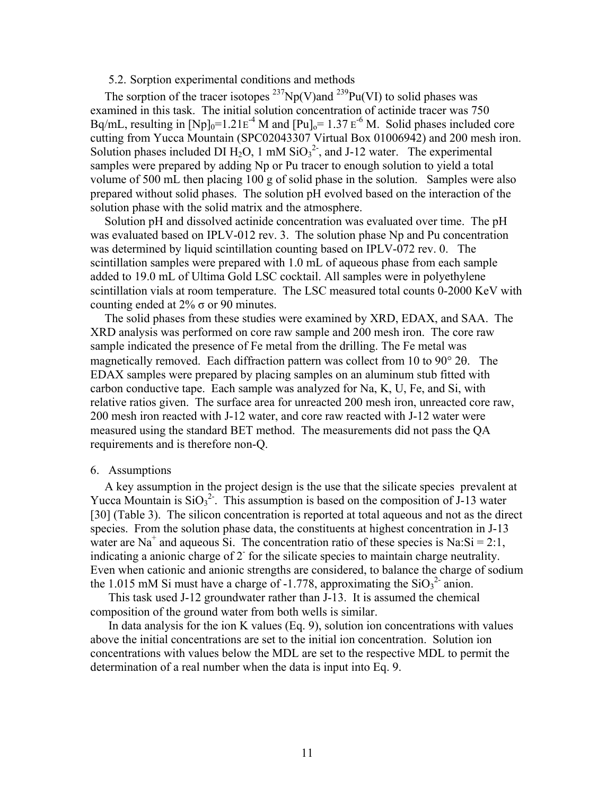#### 5.2. Sorption experimental conditions and methods

The sorption of the tracer isotopes  $^{237}Np(V)$  and  $^{239}Pu(VI)$  to solid phases was examined in this task. The initial solution concentration of actinide tracer was 750 Bq/mL, resulting in  $[Np]_0=1.21E^{-4}$  M and  $[Pu]_0=1.37E^{-6}$  M. Solid phases included core cutting from Yucca Mountain (SPC02043307 Virtual Box 01006942) and 200 mesh iron. Solution phases included DI  $H_2O$ , 1 mM  $SiO_3^2$ , and J-12 water. The experimental samples were prepared by adding Np or Pu tracer to enough solution to yield a total volume of 500 mL then placing 100 g of solid phase in the solution. Samples were also prepared without solid phases. The solution pH evolved based on the interaction of the solution phase with the solid matrix and the atmosphere.

Solution pH and dissolved actinide concentration was evaluated over time. The pH was evaluated based on IPLV-012 rev. 3. The solution phase Np and Pu concentration was determined by liquid scintillation counting based on IPLV-072 rev. 0. The scintillation samples were prepared with 1.0 mL of aqueous phase from each sample added to 19.0 mL of Ultima Gold LSC cocktail. All samples were in polyethylene scintillation vials at room temperature. The LSC measured total counts 0-2000 KeV with counting ended at  $2\%$   $\sigma$  or 90 minutes.

The solid phases from these studies were examined by XRD, EDAX, and SAA. The XRD analysis was performed on core raw sample and 200 mesh iron. The core raw sample indicated the presence of Fe metal from the drilling. The Fe metal was magnetically removed. Each diffraction pattern was collect from 10 to 90° 2θ. The EDAX samples were prepared by placing samples on an aluminum stub fitted with carbon conductive tape. Each sample was analyzed for Na, K, U, Fe, and Si, with relative ratios given. The surface area for unreacted 200 mesh iron, unreacted core raw, 200 mesh iron reacted with J-12 water, and core raw reacted with J-12 water were measured using the standard BET method. The measurements did not pass the QA requirements and is therefore non-Q.

#### 6. Assumptions

A key assumption in the project design is the use that the silicate species prevalent at Yucca Mountain is  $SiO<sub>3</sub><sup>2</sup>$ . This assumption is based on the composition of J-13 water [30] (Table 3). The silicon concentration is reported at total aqueous and not as the direct species. From the solution phase data, the constituents at highest concentration in J-13 water are Na<sup>+</sup> and aqueous Si. The concentration ratio of these species is Na:Si = 2:1, indicating a anionic charge of 2<sup>-</sup> for the silicate species to maintain charge neutrality. Even when cationic and anionic strengths are considered, to balance the charge of sodium the 1.015 mM Si must have a charge of -1.778, approximating the  $SiO<sub>3</sub><sup>2</sup>$  anion.

This task used J-12 groundwater rather than J-13. It is assumed the chemical composition of the ground water from both wells is similar.

In data analysis for the ion K values (Eq. 9), solution ion concentrations with values above the initial concentrations are set to the initial ion concentration. Solution ion concentrations with values below the MDL are set to the respective MDL to permit the determination of a real number when the data is input into Eq. 9.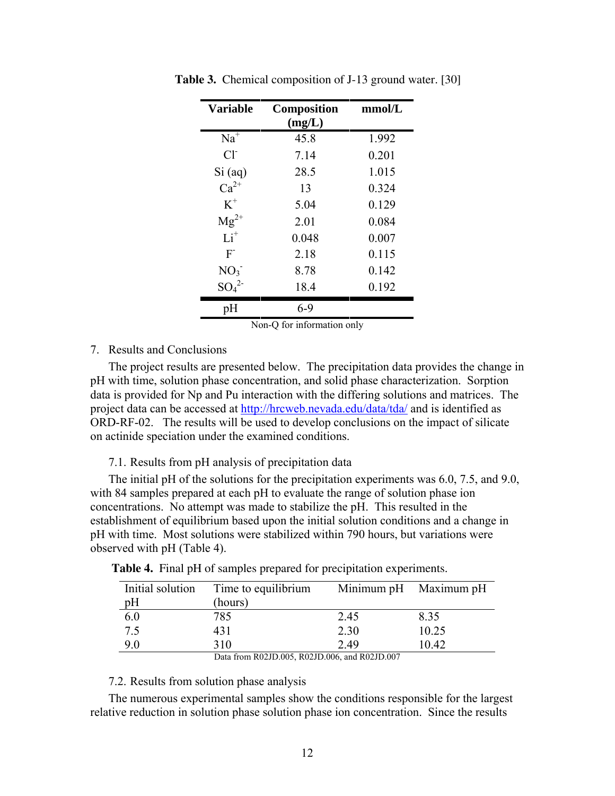| <b>Variable</b>     | <b>Composition</b><br>(mg/L) | mmol/L |
|---------------------|------------------------------|--------|
| $Na^{\overline{+}}$ | 45.8                         | 1.992  |
| $Cl-$               | 7.14                         | 0.201  |
| $Si$ (aq)           | 28.5                         | 1.015  |
| $Ca^{2+}$           | 13                           | 0.324  |
| $K^+$               | 5.04                         | 0.129  |
| $Mg^{2+}$           | 2.01                         | 0.084  |
| $Li+$               | 0.048                        | 0.007  |
| $F^{-}$             | 2.18                         | 0.115  |
| NO <sub>3</sub>     | 8.78                         | 0.142  |
| $SO_4^2$            | 18.4                         | 0.192  |
| pH                  | $6 - 9$                      |        |

**Table 3.** Chemical composition of J-13 ground water. [30]

Non-Q for information only

### 7. Results and Conclusions

The project results are presented below. The precipitation data provides the change in pH with time, solution phase concentration, and solid phase characterization. Sorption data is provided for Np and Pu interaction with the differing solutions and matrices. The project data can be accessed at http://hrcweb.nevada.edu/data/tda/ and is identified as ORD-RF-02. The results will be used to develop conclusions on the impact of silicate on actinide speciation under the examined conditions.

7.1. Results from pH analysis of precipitation data

The initial pH of the solutions for the precipitation experiments was 6.0, 7.5, and 9.0, with 84 samples prepared at each pH to evaluate the range of solution phase ion concentrations. No attempt was made to stabilize the pH. This resulted in the establishment of equilibrium based upon the initial solution conditions and a change in pH with time. Most solutions were stabilized within 790 hours, but variations were observed with pH (Table 4).

| Initial solution                              | Time to equilibrium |      | Minimum pH Maximum pH |  |  |
|-----------------------------------------------|---------------------|------|-----------------------|--|--|
| pH                                            | (hours)             |      |                       |  |  |
| 6.0                                           | 785                 | 2.45 | 8.35                  |  |  |
| 7.5                                           | 431                 | 2.30 | 10.25                 |  |  |
| 9.0                                           | 310                 | 2.49 | 10.42                 |  |  |
| Data from R02ID 005, R02ID 006, and R02ID 007 |                     |      |                       |  |  |

**Table 4.** Final pH of samples prepared for precipitation experiments.

Data from R02JD.005, R02JD.006, and R02JD.007

#### 7.2. Results from solution phase analysis

The numerous experimental samples show the conditions responsible for the largest relative reduction in solution phase solution phase ion concentration. Since the results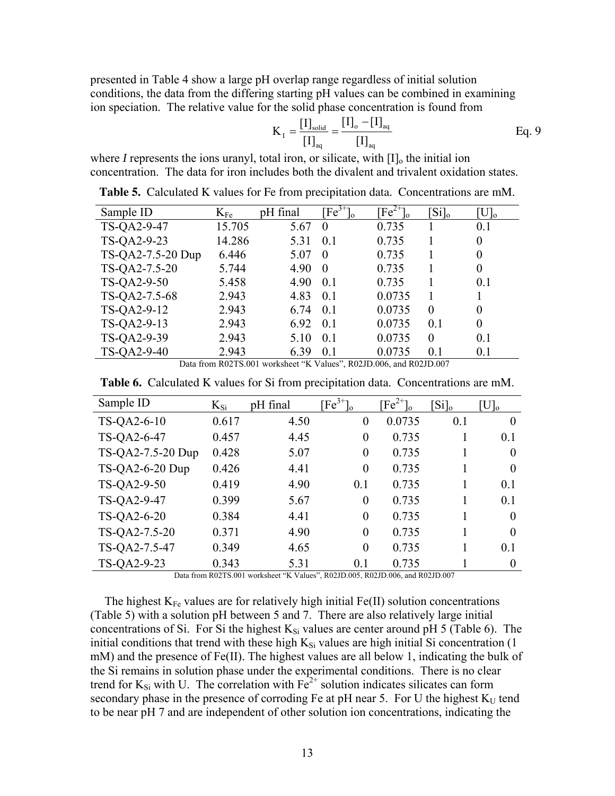presented in Table 4 show a large pH overlap range regardless of initial solution conditions, the data from the differing starting pH values can be combined in examining ion speciation. The relative value for the solid phase concentration is found from

$$
K_{I} = \frac{[I]_{\text{solid}}}{[I]_{\text{aq}}} = \frac{[I]_{o} - [I]_{\text{aq}}}{[I]_{\text{aq}}}
$$
 Eq. 9

where *I* represents the ions uranyl, total iron, or silicate, with  $[I]_0$  the initial ion concentration. The data for iron includes both the divalent and trivalent oxidation states.

| Sample ID         | $\rm K_{Fe}$ | pH final | $\text{Fe}^{3+}$ | $\text{Fe}^{2+}$ | $[S_i]_0$ | $\rm{[U]_o}$   |
|-------------------|--------------|----------|------------------|------------------|-----------|----------------|
| TS-QA2-9-47       | 15.705       | 5.67     | $\theta$         | 0.735            |           | 0.1            |
| TS-QA2-9-23       | 14.286       | 5.31     | 0.1              | 0.735            |           | 0              |
| TS-QA2-7.5-20 Dup | 6.446        | 5.07     | $\theta$         | 0.735            |           | 0              |
| TS-QA2-7.5-20     | 5.744        | 4.90     | $\theta$         | 0.735            |           | $\overline{0}$ |
| TS-QA2-9-50       | 5.458        | 4.90     | $\overline{0}1$  | 0.735            |           | 0 <sub>1</sub> |
| TS-QA2-7.5-68     | 2.943        | 4.83     | 0.1              | 0.0735           |           |                |
| TS-QA2-9-12       | 2.943        | 6.74     | 0.1              | 0.0735           | $\Omega$  | $\theta$       |
| TS-QA2-9-13       | 2.943        | 6.92     | 0.1              | 0.0735           | 0.1       | $\overline{0}$ |
| TS-QA2-9-39       | 2.943        | 5.10     | 0.1              | 0.0735           | $\Omega$  | 0.1            |
| TS-QA2-9-40       | 2.943        | 6.39     | 0.1              | 0.0735           | 0.1       | 0.1            |

**Table 5.** Calculated K values for Fe from precipitation data. Concentrations are mM.

Data from R02TS.001 worksheet "K Values", R02JD.006, and R02JD.007

| Sample ID         | $K_{Si}$ | pH final | $[Fe^{3+}]$    | $\text{Fe}^{2+}$ | $\operatorname{Si}$ <sub>o</sub> | $U$ <sub>o</sub> |
|-------------------|----------|----------|----------------|------------------|----------------------------------|------------------|
| TS-QA2-6-10       | 0.617    | 4.50     | $\theta$       | 0.0735           | 0.1                              | $\Omega$         |
| TS-QA2-6-47       | 0.457    | 4.45     | $\overline{0}$ | 0.735            |                                  | 0.1              |
| TS-QA2-7.5-20 Dup | 0.428    | 5.07     | $\theta$       | 0.735            |                                  | $\Omega$         |
| $TS-QA2-6-20$ Dup | 0.426    | 4.41     | $\overline{0}$ | 0.735            |                                  | $\theta$         |
| TS-QA2-9-50       | 0.419    | 4.90     | 0.1            | 0.735            |                                  | 0.1              |
| TS-QA2-9-47       | 0.399    | 5.67     | $\theta$       | 0.735            |                                  | 0.1              |
| TS-QA2-6-20       | 0.384    | 4.41     | $\theta$       | 0.735            |                                  | $\theta$         |
| TS-QA2-7.5-20     | 0.371    | 4.90     | $\theta$       | 0.735            |                                  | $\Omega$         |
| TS-QA2-7.5-47     | 0.349    | 4.65     | $\theta$       | 0.735            |                                  | 0 <sub>1</sub>   |
| TS-QA2-9-23       | 0.343    | 5.31     | 0.1            | 0.735            |                                  | $\Omega$         |

**Table 6.** Calculated K values for Si from precipitation data. Concentrations are mM.

Data from R02TS.001 worksheet "K Values", R02JD.005, R02JD.006, and R02JD.007

The highest  $K_{Fe}$  values are for relatively high initial  $Fe(II)$  solution concentrations (Table 5) with a solution pH between 5 and 7. There are also relatively large initial concentrations of Si. For Si the highest  $K_{Si}$  values are center around pH 5 (Table 6). The initial conditions that trend with these high  $K_{Si}$  values are high initial Si concentration (1) mM) and the presence of Fe(II). The highest values are all below 1, indicating the bulk of the Si remains in solution phase under the experimental conditions. There is no clear trend for  $K_{Si}$  with U. The correlation with  $Fe<sup>2+</sup>$  solution indicates silicates can form secondary phase in the presence of corroding Fe at pH near 5. For U the highest  $K_U$  tend to be near pH 7 and are independent of other solution ion concentrations, indicating the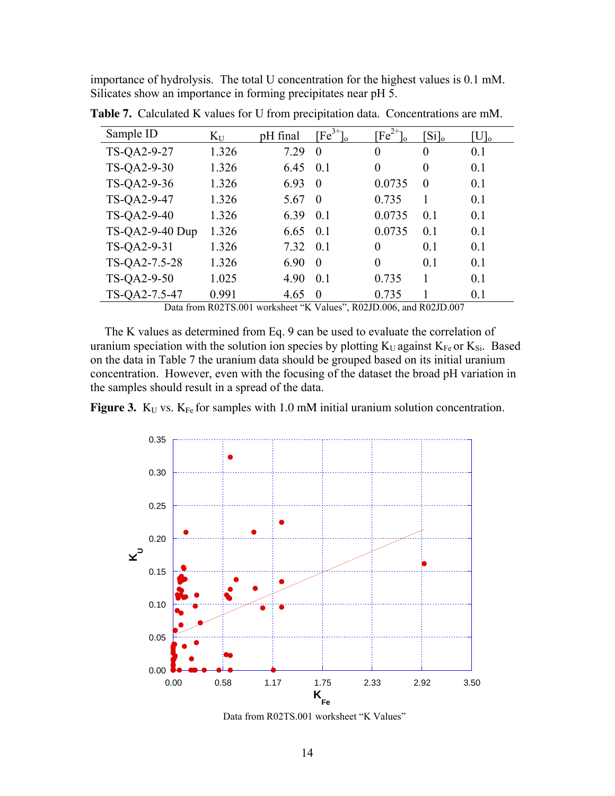importance of hydrolysis. The total U concentration for the highest values is 0.1 mM. Silicates show an importance in forming precipitates near pH 5.

| Sample ID       | $K_{U}$ | pH final | $[Fe^{3+}]$ | $\text{Fe}^{2+}$ | $[S_i]_0$ | $\mathrm{U} _{0}$ |
|-----------------|---------|----------|-------------|------------------|-----------|-------------------|
| TS-QA2-9-27     | 1.326   | 7.29     | $\theta$    | $\theta$         | 0         | 0.1               |
| TS-QA2-9-30     | 1.326   | 6.45     | 0.1         | $\theta$         | 0         | 0.1               |
| TS-QA2-9-36     | 1.326   | 6.93     | $\Omega$    | 0.0735           | $\Omega$  | 0.1               |
| TS-QA2-9-47     | 1.326   | 5.67     | $\Omega$    | 0.735            |           | 0.1               |
| TS-QA2-9-40     | 1.326   | 6.39     | 0.1         | 0.0735           | 0.1       | 0.1               |
| TS-QA2-9-40 Dup | 1.326   | 6.65     | 0.1         | 0.0735           | 0.1       | 0.1               |
| TS-QA2-9-31     | 1.326   | 7.32     | 0.1         | $\Omega$         | 0.1       | 0.1               |
| TS-QA2-7.5-28   | 1.326   | 6.90     | $\Omega$    | $\theta$         | 0.1       | 0.1               |
| TS-QA2-9-50     | 1.025   | 4.90     | 0.1         | 0.735            |           | 0.1               |
| TS-QA2-7.5-47   | 0.991   | 4.65     | $\Omega$    | 0.735            |           | 0.1               |

**Table 7.** Calculated K values for U from precipitation data. Concentrations are mM.

Data from R02TS.001 worksheet "K Values", R02JD.006, and R02JD.007

The K values as determined from Eq. 9 can be used to evaluate the correlation of uranium speciation with the solution ion species by plotting  $K_U$  against  $K_{Fe}$  or  $K_{Si}$ . Based on the data in Table 7 the uranium data should be grouped based on its initial uranium concentration. However, even with the focusing of the dataset the broad pH variation in the samples should result in a spread of the data.

**Figure 3.**  $K_U$  vs.  $K_{Fe}$  for samples with 1.0 mM initial uranium solution concentration.



Data from R02TS.001 worksheet "K Values"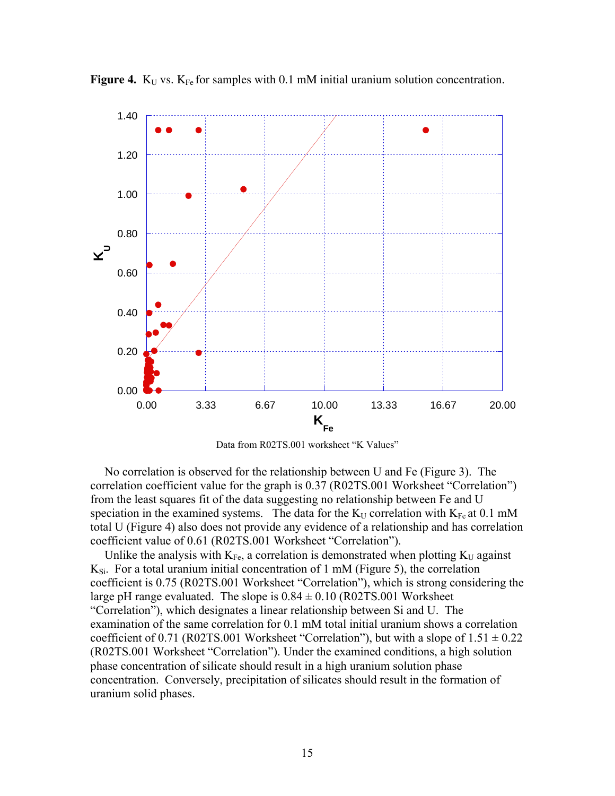

**Figure 4.**  $K_U$  vs.  $K_{Fe}$  for samples with 0.1 mM initial uranium solution concentration.

Data from R02TS.001 worksheet "K Values"

No correlation is observed for the relationship between U and Fe (Figure 3). The correlation coefficient value for the graph is 0.37 (R02TS.001 Worksheet "Correlation") from the least squares fit of the data suggesting no relationship between Fe and U speciation in the examined systems. The data for the  $K_U$  correlation with  $K_{Fe}$  at 0.1 mM total U (Figure 4) also does not provide any evidence of a relationship and has correlation coefficient value of 0.61 (R02TS.001 Worksheet "Correlation").

Unlike the analysis with  $K_{Fe}$ , a correlation is demonstrated when plotting  $K_U$  against  $K_{Si}$ . For a total uranium initial concentration of 1 mM (Figure 5), the correlation coefficient is 0.75 (R02TS.001 Worksheet "Correlation"), which is strong considering the large pH range evaluated. The slope is  $0.84 \pm 0.10$  (R02TS.001 Worksheet "Correlation"), which designates a linear relationship between Si and U. The examination of the same correlation for 0.1 mM total initial uranium shows a correlation coefficient of 0.71 (R02TS.001 Worksheet "Correlation"), but with a slope of  $1.51 \pm 0.22$ (R02TS.001 Worksheet "Correlation"). Under the examined conditions, a high solution phase concentration of silicate should result in a high uranium solution phase concentration. Conversely, precipitation of silicates should result in the formation of uranium solid phases.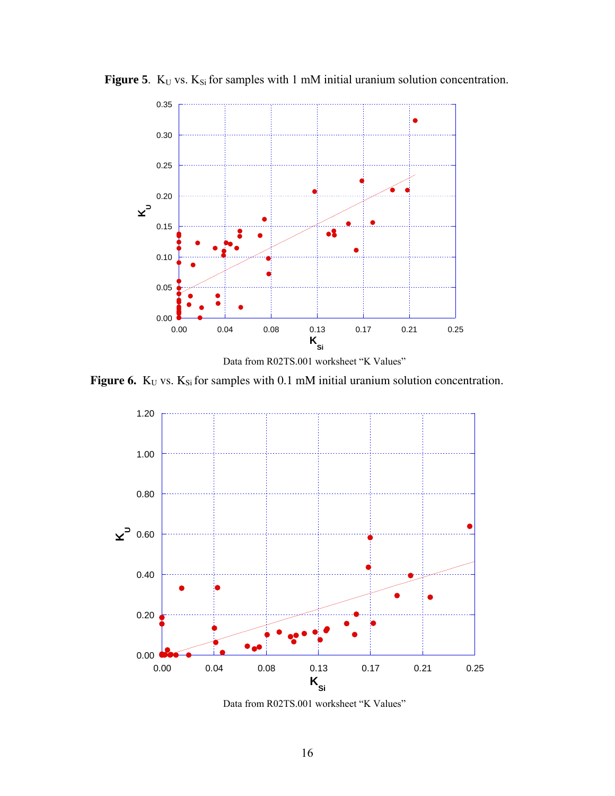

**Figure 5**.  $K_U$  vs.  $K_{Si}$  for samples with 1 mM initial uranium solution concentration.



**Figure 6.**  $K_U$  vs.  $K_{Si}$  for samples with 0.1 mM initial uranium solution concentration.



Data from R02TS.001 worksheet "K Values"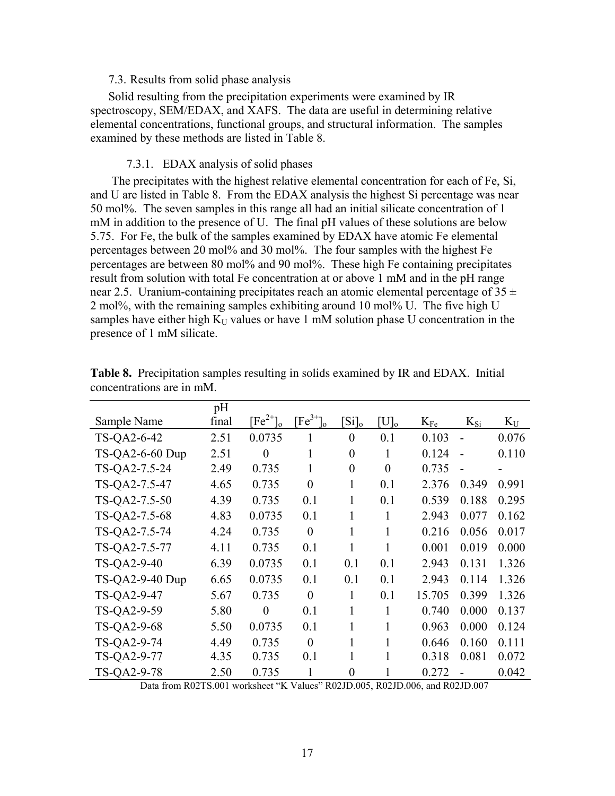#### 7.3. Results from solid phase analysis

Solid resulting from the precipitation experiments were examined by IR spectroscopy, SEM/EDAX, and XAFS. The data are useful in determining relative elemental concentrations, functional groups, and structural information. The samples examined by these methods are listed in Table 8.

#### 7.3.1. EDAX analysis of solid phases

The precipitates with the highest relative elemental concentration for each of Fe, Si, and U are listed in Table 8. From the EDAX analysis the highest Si percentage was near 50 mol%. The seven samples in this range all had an initial silicate concentration of 1 mM in addition to the presence of U. The final pH values of these solutions are below 5.75. For Fe, the bulk of the samples examined by EDAX have atomic Fe elemental percentages between 20 mol% and 30 mol%. The four samples with the highest Fe percentages are between 80 mol% and 90 mol%. These high Fe containing precipitates result from solution with total Fe concentration at or above 1 mM and in the pH range near 2.5. Uranium-containing precipitates reach an atomic elemental percentage of  $35 \pm$ 2 mol%, with the remaining samples exhibiting around 10 mol% U. The five high U samples have either high  $K_U$  values or have 1 mM solution phase U concentration in the presence of 1 mM silicate.

|                 | pH    |               |                |                  |                |          |                |       |
|-----------------|-------|---------------|----------------|------------------|----------------|----------|----------------|-------|
| Sample Name     | final | $[Fe^{2+}]_0$ | $[Fe^{3+}]_0$  | $[S_i]_0$        | $[U]_0$        | $K_{Fe}$ | $K_{Si}$       | $K_U$ |
| TS-QA2-6-42     | 2.51  | 0.0735        | 1              | $\theta$         | 0.1            | 0.103    | $\blacksquare$ | 0.076 |
| TS-QA2-6-60 Dup | 2.51  | $\theta$      | 1              | $\overline{0}$   | 1              | 0.124    | L,             | 0.110 |
| TS-QA2-7.5-24   | 2.49  | 0.735         | 1              | $\overline{0}$   | $\overline{0}$ | 0.735    | $\blacksquare$ |       |
| TS-QA2-7.5-47   | 4.65  | 0.735         | $\theta$       | 1                | 0.1            | 2.376    | 0.349          | 0.991 |
| TS-QA2-7.5-50   | 4.39  | 0.735         | 0.1            | 1                | 0.1            | 0.539    | 0.188          | 0.295 |
| TS-QA2-7.5-68   | 4.83  | 0.0735        | 0.1            | 1                | 1              | 2.943    | 0.077          | 0.162 |
| TS-QA2-7.5-74   | 4.24  | 0.735         | $\overline{0}$ | 1                | 1              | 0.216    | 0.056          | 0.017 |
| TS-QA2-7.5-77   | 4.11  | 0.735         | 0.1            | 1                | 1              | 0.001    | 0.019          | 0.000 |
| TS-QA2-9-40     | 6.39  | 0.0735        | 0.1            | 0.1              | 0.1            | 2.943    | 0.131          | 1.326 |
| TS-QA2-9-40 Dup | 6.65  | 0.0735        | 0.1            | 0.1              | 0.1            | 2.943    | 0.114          | 1.326 |
| TS-QA2-9-47     | 5.67  | 0.735         | $\theta$       | 1                | 0.1            | 15.705   | 0.399          | 1.326 |
| TS-QA2-9-59     | 5.80  | $\theta$      | 0.1            | 1                | 1              | 0.740    | 0.000          | 0.137 |
| TS-QA2-9-68     | 5.50  | 0.0735        | 0.1            | 1                | 1              | 0.963    | 0.000          | 0.124 |
| TS-QA2-9-74     | 4.49  | 0.735         | $\theta$       | 1                | 1              | 0.646    | 0.160          | 0.111 |
| TS-QA2-9-77     | 4.35  | 0.735         | 0.1            | 1                |                | 0.318    | 0.081          | 0.072 |
| TS-QA2-9-78     | 2.50  | 0.735         | 1              | $\boldsymbol{0}$ |                | 0.272    |                | 0.042 |

**Table 8.** Precipitation samples resulting in solids examined by IR and EDAX. Initial concentrations are in mM.

Data from R02TS.001 worksheet "K Values" R02JD.005, R02JD.006, and R02JD.007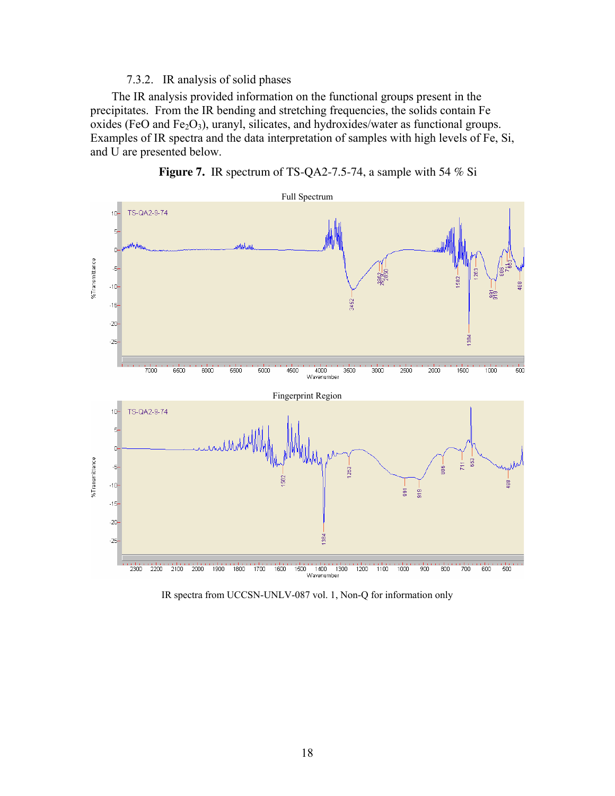### 7.3.2. IR analysis of solid phases

The IR analysis provided information on the functional groups present in the precipitates. From the IR bending and stretching frequencies, the solids contain Fe oxides (FeO and Fe<sub>2</sub>O<sub>3</sub>), uranyl, silicates, and hydroxides/water as functional groups. Examples of IR spectra and the data interpretation of samples with high levels of Fe, Si, and U are presented below.





IR spectra from UCCSN-UNLV-087 vol. 1, Non-Q for information only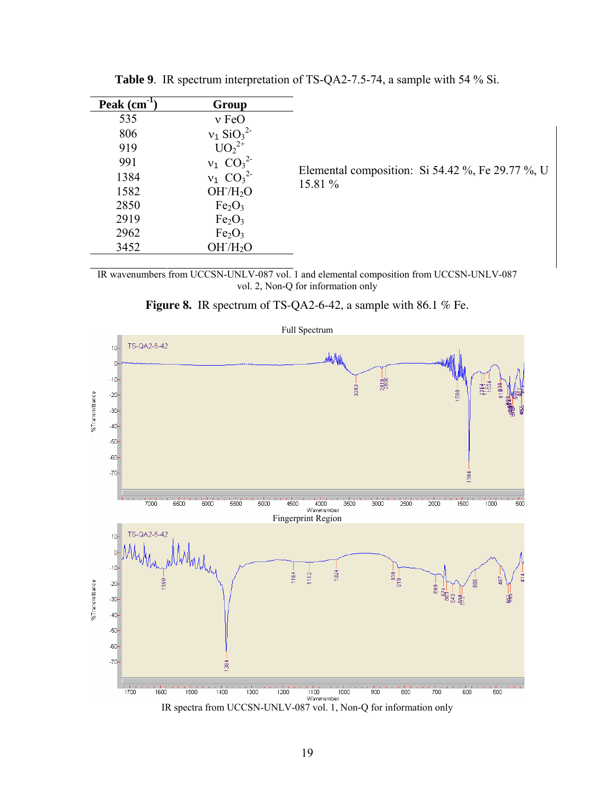| Peak $(cm-1)$<br>535<br>806<br>919<br>991<br>1384<br>1582<br>2850<br>2919<br>2962<br>3452 | Group<br>$v$ FeO<br>$v_1$ SiO <sub>3</sub> <sup>2-</sup><br>$UO_2^{2+}$<br>$v_1$ CO <sub>3</sub> <sup>2</sup><br>$v_1$ $CO_3^2$<br>OH/H <sub>2</sub> O<br>Fe <sub>2</sub> O <sub>3</sub><br>Fe <sub>2</sub> O <sub>3</sub><br>Fe <sub>2</sub> O <sub>3</sub><br>OH/H <sub>2</sub> O | Elemental composition: Si 54.42 %, Fe 29.77 %, U<br>15.81 % |
|-------------------------------------------------------------------------------------------|-------------------------------------------------------------------------------------------------------------------------------------------------------------------------------------------------------------------------------------------------------------------------------------|-------------------------------------------------------------|
|                                                                                           |                                                                                                                                                                                                                                                                                     |                                                             |

**Table 9**. IR spectrum interpretation of TS-QA2-7.5-74, a sample with 54 % Si.

IR wavenumbers from UCCSN-UNLV-087 vol. 1 and elemental composition from UCCSN-UNLV-087 vol. 2, Non-Q for information only



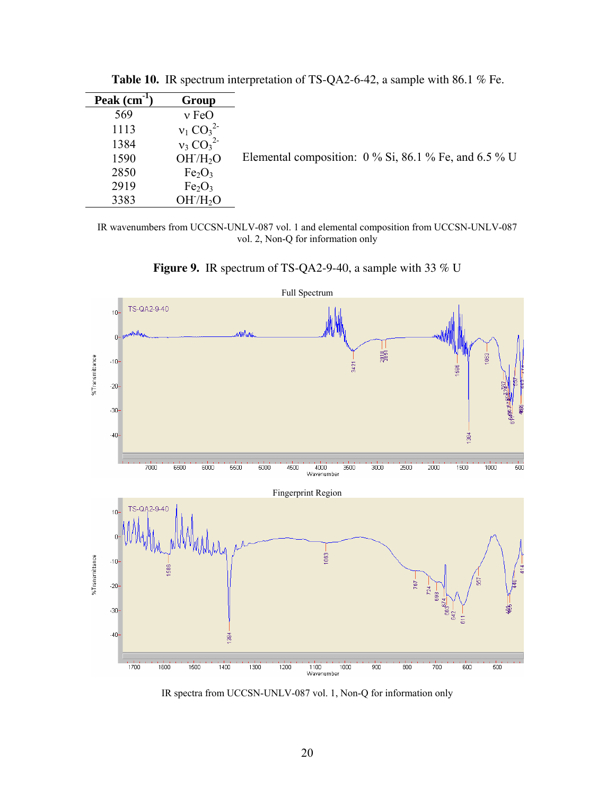| Peak (cm <sup>-1</sup> | Group                          |                                                         |
|------------------------|--------------------------------|---------------------------------------------------------|
| 569                    | $v \text{FeO}$                 |                                                         |
| 1113                   | $v_1 CO_3^2$                   |                                                         |
| 1384                   | $v_3 CO_3^2$                   |                                                         |
| 1590                   | OH/H <sub>2</sub> O            | Elemental composition: $0\%$ Si, 86.1 % Fe, and 6.5 % U |
| 2850                   | Fe <sub>2</sub> O <sub>3</sub> |                                                         |
| 2919                   | Fe <sub>2</sub> O <sub>3</sub> |                                                         |
| 3383                   | OH/H <sub>2</sub> O            |                                                         |

**Table 10.** IR spectrum interpretation of TS-QA2-6-42, a sample with 86.1 % Fe.

IR wavenumbers from UCCSN-UNLV-087 vol. 1 and elemental composition from UCCSN-UNLV-087 vol. 2, Non-Q for information only

**Figure 9.** IR spectrum of TS-QA2-9-40, a sample with 33 % U



IR spectra from UCCSN-UNLV-087 vol. 1, Non-Q for information only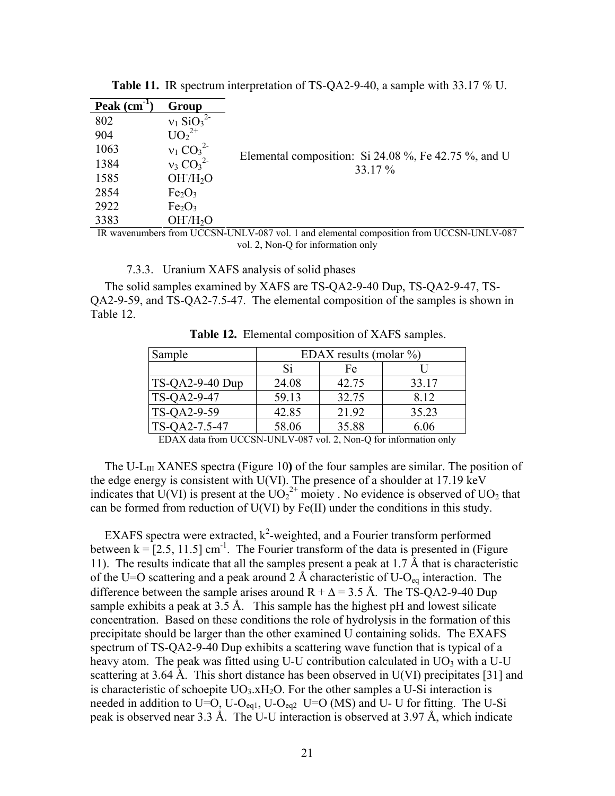| Peak (cm | Group                                |                                                                                                                 |
|----------|--------------------------------------|-----------------------------------------------------------------------------------------------------------------|
| 802      | $v_1$ SiO <sub>3</sub> <sup>2-</sup> |                                                                                                                 |
| 904      | $UO_2^{2+}$                          |                                                                                                                 |
| 1063     | $v_1 CO_3^2$                         | Elemental composition: Si 24.08 %, Fe 42.75 %, and U                                                            |
| 1384     | $v_3 CO_3^2$                         | 33.17 %                                                                                                         |
| 1585     | OH/H <sub>2</sub> O                  |                                                                                                                 |
| 2854     | Fe <sub>2</sub> O <sub>3</sub>       |                                                                                                                 |
| 2922     | Fe <sub>2</sub> O <sub>3</sub>       |                                                                                                                 |
| 3383     | OH/H <sub>2</sub> O                  |                                                                                                                 |
|          |                                      | ID $\ldots$ is a constructed in $\mu$ of $\ldots$ 1.1. $\ldots$ 1.1. $\ldots$ $\ldots$ is a constraint $\mu$ of |

**Table 11.** IR spectrum interpretation of TS-QA2-9-40, a sample with 33.17 % U.

IR wavenumbers from UCCSN-UNLV-087 vol. 1 and elemental composition from UCCSN-UNLV-087 vol. 2, Non-Q for information only

7.3.3. Uranium XAFS analysis of solid phases

The solid samples examined by XAFS are TS-QA2-9-40 Dup, TS-QA2-9-47, TS-QA2-9-59, and TS-QA2-7.5-47. The elemental composition of the samples is shown in Table 12.

| Sample            | EDAX results (molar $\%$ ) |       |       |
|-------------------|----------------------------|-------|-------|
|                   | Si                         | Fe    |       |
| $TS-OA2-9-40 Dup$ | 24.08                      | 42.75 | 33.17 |
| TS-QA2-9-47       | 59.13                      | 32.75 | 8.12  |
| TS-QA2-9-59       | 42.85                      | 21.92 | 35.23 |
| TS-QA2-7.5-47     | 58.06                      | 35.88 | 6.06  |

**Table 12.** Elemental composition of XAFS samples.

EDAX data from UCCSN-UNLV-087 vol. 2, Non-Q for information only

The U-LIII XANES spectra (Figure 10**)** of the four samples are similar. The position of the edge energy is consistent with U(VI). The presence of a shoulder at 17.19 keV indicates that U(VI) is present at the  $UO_2^{2+}$  moiety. No evidence is observed of UO<sub>2</sub> that can be formed from reduction of U(VI) by Fe(II) under the conditions in this study.

EXAFS spectra were extracted,  $k^2$ -weighted, and a Fourier transform performed between  $k = [2.5, 11.5]$  cm<sup>-1</sup>. The Fourier transform of the data is presented in (Figure 11). The results indicate that all the samples present a peak at 1.7 Å that is characteristic of the U=O scattering and a peak around 2 Å characteristic of U-O<sub>eq</sub> interaction. The difference between the sample arises around  $R + \Delta = 3.5 \text{ Å}$ . The TS-QA2-9-40 Dup sample exhibits a peak at 3.5 Å. This sample has the highest pH and lowest silicate concentration. Based on these conditions the role of hydrolysis in the formation of this precipitate should be larger than the other examined U containing solids. The EXAFS spectrum of TS-QA2-9-40 Dup exhibits a scattering wave function that is typical of a heavy atom. The peak was fitted using U-U contribution calculated in  $UO_3$  with a U-U scattering at 3.64 Å. This short distance has been observed in U(VI) precipitates [31] and is characteristic of schoepite  $UO<sub>3</sub>$ .xH<sub>2</sub>O. For the other samples a U-Si interaction is needed in addition to U=O, U-O<sub>eq1</sub>, U-O<sub>eq2</sub> U=O (MS) and U- U for fitting. The U-Si peak is observed near 3.3 Å. The U-U interaction is observed at 3.97 Å, which indicate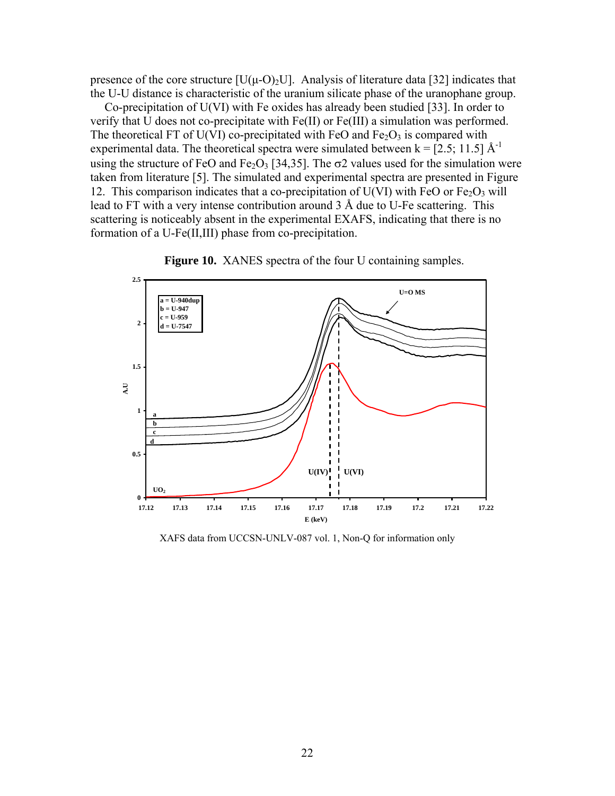presence of the core structure  $[U(\mu-O)_2 U]$ . Analysis of literature data [32] indicates that the U-U distance is characteristic of the uranium silicate phase of the uranophane group.

Co-precipitation of U(VI) with Fe oxides has already been studied [33]. In order to verify that U does not co-precipitate with Fe(II) or Fe(III) a simulation was performed. The theoretical FT of U(VI) co-precipitated with FeO and  $Fe<sub>2</sub>O<sub>3</sub>$  is compared with experimental data. The theoretical spectra were simulated between  $k = [2.5; 11.5] A^{-1}$ using the structure of FeO and Fe<sub>2</sub>O<sub>3</sub> [34,35]. The  $\sigma$ 2 values used for the simulation were taken from literature [5]. The simulated and experimental spectra are presented in Figure 12. This comparison indicates that a co-precipitation of  $U(VI)$  with FeO or Fe<sub>2</sub>O<sub>3</sub> will lead to FT with a very intense contribution around 3 Å due to U-Fe scattering. This scattering is noticeably absent in the experimental EXAFS, indicating that there is no formation of a U-Fe(II,III) phase from co-precipitation.



Figure 10. XANES spectra of the four U containing samples.

XAFS data from UCCSN-UNLV-087 vol. 1, Non-Q for information only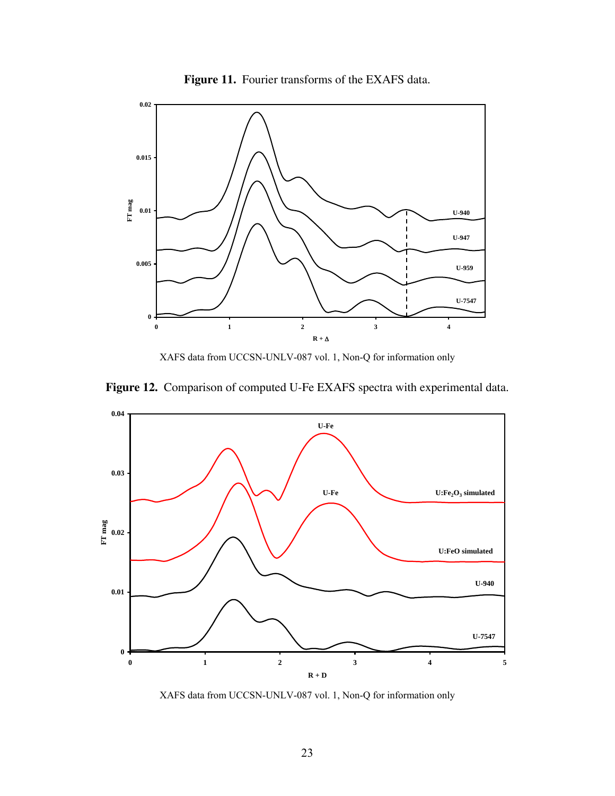



XAFS data from UCCSN-UNLV-087 vol. 1, Non-Q for information only





XAFS data from UCCSN-UNLV-087 vol. 1, Non-Q for information only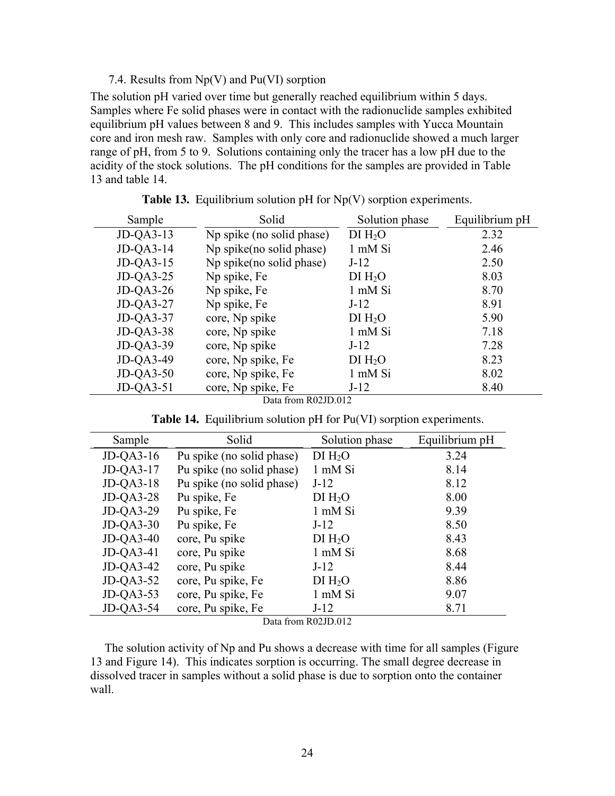#### 7.4. Results from  $Np(V)$  and  $Pu(VI)$  sorption

The solution pH varied over time but generally reached equilibrium within 5 days. Samples where Fe solid phases were in contact with the radionuclide samples exhibited equilibrium pH values between 8 and 9. This includes samples with Yucca Mountain core and iron mesh raw. Samples with only core and radionuclide showed a much larger range of pH, from 5 to 9. Solutions containing only the tracer has a low pH due to the acidity of the stock solutions. The pH conditions for the samples are provided in Table 13 and table 14.

| Sample       | Solid                              | Solution phase      | Equilibrium pH |
|--------------|------------------------------------|---------------------|----------------|
| $JD$ -QA3-13 | Np spike (no solid phase)          | DI H <sub>2</sub> O | 2.32           |
| $JD$ -QA3-14 | Np spike(no solid phase)           | 1 mM Si             | 2.46           |
| $JD$ -QA3-15 | Np spike(no solid phase)           | $J-12$              | 2.50           |
| $JD$ -QA3-25 | Np spike, Fe                       | DI H <sub>2</sub> O | 8.03           |
| $JD$ -QA3-26 | Np spike, Fe                       | 1 mM Si             | 8.70           |
| $JD$ -QA3-27 | Np spike, Fe                       | $J-12$              | 8.91           |
| $JD$ -QA3-37 | core, Np spike                     | DI H <sub>2</sub> O | 5.90           |
| $JD$ -QA3-38 | core, Np spike                     | 1 mM Si             | 7.18           |
| $JD-QA3-39$  | core, Np spike                     | $J-12$              | 7.28           |
| JD-QA3-49    | core, Np spike, Fe                 | DI H <sub>2</sub> O | 8.23           |
| $JD$ -QA3-50 | core, Np spike, Fe                 | 1 mM Si             | 8.02           |
| $JD$ -QA3-51 | core, Np spike, Fe<br>$\mathbf{A}$ | $J-12$              | 8.40           |

**Table 13.** Equilibrium solution pH for Np(V) sorption experiments.

Data from R02JD.012

**Table 14.** Equilibrium solution pH for Pu(VI) sorption experiments.

| Sample       | Solid                     | Solution phase      | Equilibrium pH |
|--------------|---------------------------|---------------------|----------------|
| $JD$ -QA3-16 | Pu spike (no solid phase) | DI H <sub>2</sub> O | 3.24           |
| $JD$ -QA3-17 | Pu spike (no solid phase) | 1 mM Si             | 8.14           |
| $JD$ -QA3-18 | Pu spike (no solid phase) | $J-12$              | 8.12           |
| $JD$ -QA3-28 | Pu spike, Fe              | DI H <sub>2</sub> O | 8.00           |
| $JD$ -QA3-29 | Pu spike, Fe              | 1 mM Si             | 9.39           |
| $JD$ -QA3-30 | Pu spike, Fe              | $J-12$              | 8.50           |
| $JD$ -QA3-40 | core, Pu spike            | DI H <sub>2</sub> O | 8.43           |
| $JD$ -QA3-41 | core, Pu spike            | 1 mM Si             | 8.68           |
| $JD$ -QA3-42 | core, Pu spike            | $J-12$              | 8.44           |
| $JD$ -QA3-52 | core, Pu spike, Fe        | DI H <sub>2</sub> O | 8.86           |
| $JD$ -QA3-53 | core, Pu spike, Fe        | 1 mM Si             | 9.07           |
| $JD$ -QA3-54 | core, Pu spike, Fe        | $J-12$              | 8.71           |

Data from R02JD.012

The solution activity of Np and Pu shows a decrease with time for all samples (Figure 13 and Figure 14). This indicates sorption is occurring. The small degree decrease in dissolved tracer in samples without a solid phase is due to sorption onto the container wall.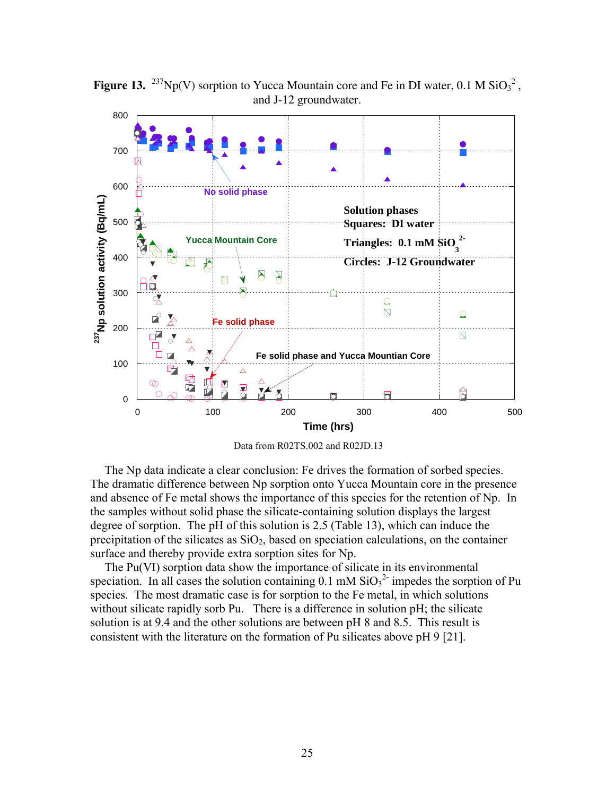

**Figure 13.** <sup>237</sup>Np(V) sorption to Yucca Mountain core and Fe in DI water, 0.1 M  $\text{SiO}_3^2$ <sup>2</sup>, and J-12 groundwater.

Data from R02TS.002 and R02JD.13

The Np data indicate a clear conclusion: Fe drives the formation of sorbed species. The dramatic difference between Np sorption onto Yucca Mountain core in the presence and absence of Fe metal shows the importance of this species for the retention of Np. In the samples without solid phase the silicate-containing solution displays the largest degree of sorption. The pH of this solution is 2.5 (Table 13), which can induce the precipitation of the silicates as  $SiO<sub>2</sub>$ , based on speciation calculations, on the container surface and thereby provide extra sorption sites for Np.

The Pu(VI) sorption data show the importance of silicate in its environmental speciation. In all cases the solution containing  $0.1 \text{ mM } \text{SiO}_3^2$  impedes the sorption of Pu species. The most dramatic case is for sorption to the Fe metal, in which solutions without silicate rapidly sorb Pu. There is a difference in solution pH; the silicate solution is at 9.4 and the other solutions are between pH 8 and 8.5. This result is consistent with the literature on the formation of Pu silicates above pH 9 [21].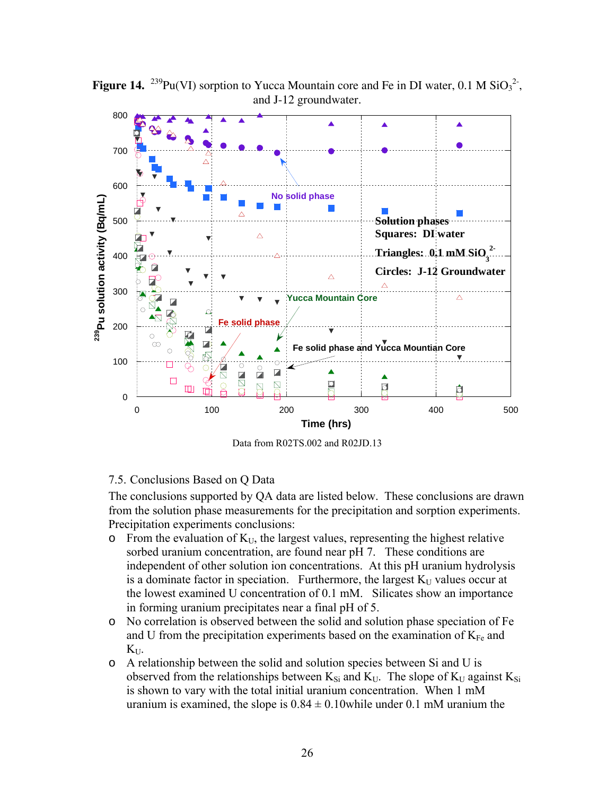

**Figure 14.** <sup>239</sup>Pu(VI) sorption to Yucca Mountain core and Fe in DI water, 0.1 M  $\text{SiO}_3^2$ <sup>2</sup>, and J-12 groundwater.

Data from R02TS.002 and R02JD.13

#### 7.5. Conclusions Based on Q Data

The conclusions supported by QA data are listed below. These conclusions are drawn from the solution phase measurements for the precipitation and sorption experiments. Precipitation experiments conclusions:

- $\circ$  From the evaluation of  $K_U$ , the largest values, representing the highest relative sorbed uranium concentration, are found near pH 7. These conditions are independent of other solution ion concentrations. At this pH uranium hydrolysis is a dominate factor in speciation. Furthermore, the largest  $K_U$  values occur at the lowest examined U concentration of 0.1 mM. Silicates show an importance in forming uranium precipitates near a final pH of 5.
- o No correlation is observed between the solid and solution phase speciation of Fe and U from the precipitation experiments based on the examination of  $K_{Fe}$  and  $K_{\text{UL}}$
- o A relationship between the solid and solution species between Si and U is observed from the relationships between  $K_{Si}$  and  $K_U$ . The slope of  $K_U$  against  $K_{Si}$ is shown to vary with the total initial uranium concentration. When 1 mM uranium is examined, the slope is  $0.84 \pm 0.10$  while under 0.1 mM uranium the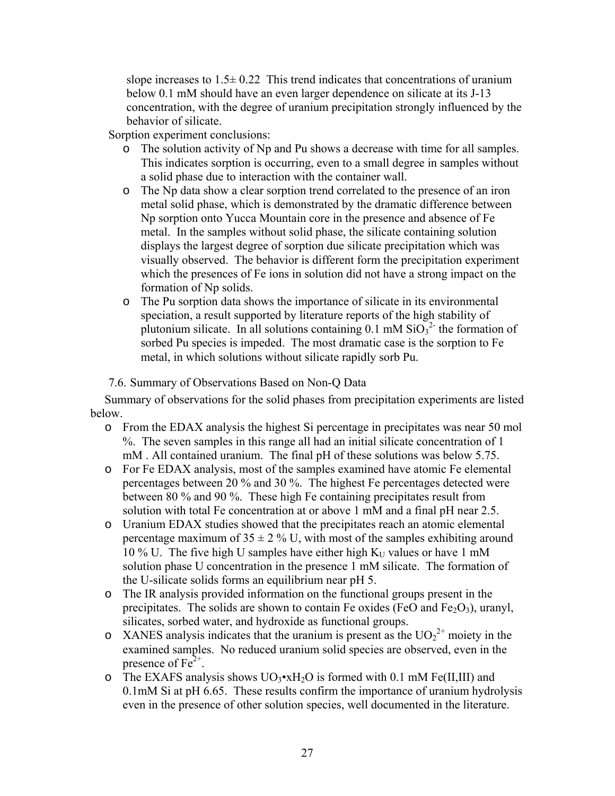slope increases to  $1.5\pm 0.22$  This trend indicates that concentrations of uranium below 0.1 mM should have an even larger dependence on silicate at its J-13 concentration, with the degree of uranium precipitation strongly influenced by the behavior of silicate.

Sorption experiment conclusions:

- o The solution activity of Np and Pu shows a decrease with time for all samples. This indicates sorption is occurring, even to a small degree in samples without a solid phase due to interaction with the container wall.
- o The Np data show a clear sorption trend correlated to the presence of an iron metal solid phase, which is demonstrated by the dramatic difference between Np sorption onto Yucca Mountain core in the presence and absence of Fe metal. In the samples without solid phase, the silicate containing solution displays the largest degree of sorption due silicate precipitation which was visually observed. The behavior is different form the precipitation experiment which the presences of Fe ions in solution did not have a strong impact on the formation of Np solids.
- o The Pu sorption data shows the importance of silicate in its environmental speciation, a result supported by literature reports of the high stability of plutonium silicate. In all solutions containing  $0.1 \text{ mM } \text{SiO}_3^2$  the formation of sorbed Pu species is impeded. The most dramatic case is the sorption to Fe metal, in which solutions without silicate rapidly sorb Pu.

### 7.6. Summary of Observations Based on Non-Q Data

Summary of observations for the solid phases from precipitation experiments are listed below.

- o From the EDAX analysis the highest Si percentage in precipitates was near 50 mol %. The seven samples in this range all had an initial silicate concentration of 1 mM . All contained uranium. The final pH of these solutions was below 5.75.
- o For Fe EDAX analysis, most of the samples examined have atomic Fe elemental percentages between 20 % and 30 %. The highest Fe percentages detected were between 80 % and 90 %. These high Fe containing precipitates result from solution with total Fe concentration at or above 1 mM and a final pH near 2.5.
- o Uranium EDAX studies showed that the precipitates reach an atomic elemental percentage maximum of  $35 \pm 2$  % U, with most of the samples exhibiting around 10 % U. The five high U samples have either high  $K_U$  values or have 1 mM solution phase U concentration in the presence 1 mM silicate. The formation of the U-silicate solids forms an equilibrium near pH 5.
- o The IR analysis provided information on the functional groups present in the precipitates. The solids are shown to contain Fe oxides (FeO and Fe<sub>2</sub>O<sub>3</sub>), uranyl, silicates, sorbed water, and hydroxide as functional groups.
- $\circ$  XANES analysis indicates that the uranium is present as the UO<sub>2</sub><sup>2+</sup> moiety in the examined samples. No reduced uranium solid species are observed, even in the presence of  $Fe^{2+}$ .
- o The EXAFS analysis shows  $UO_3 \cdot xH_2O$  is formed with 0.1 mM Fe(II,III) and 0.1mM Si at pH 6.65. These results confirm the importance of uranium hydrolysis even in the presence of other solution species, well documented in the literature.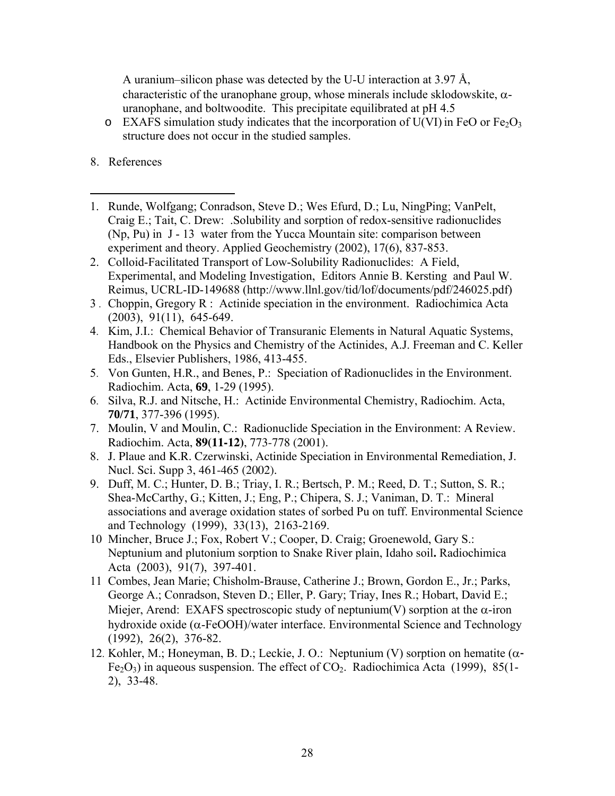A uranium–silicon phase was detected by the U-U interaction at 3.97 Å, characteristic of the uranophane group, whose minerals include sklodowskite,  $\alpha$ uranophane, and boltwoodite. This precipitate equilibrated at pH 4.5

- $\circ$  EXAFS simulation study indicates that the incorporation of U(VI) in FeO or Fe<sub>2</sub>O<sub>3</sub> structure does not occur in the studied samples.
- 8. References
- $\overline{a}$ 1. Runde, Wolfgang; Conradson, Steve D.; Wes Efurd, D.; Lu, NingPing; VanPelt, Craig E.; Tait, C. Drew: .Solubility and sorption of redox-sensitive radionuclides (Np, Pu) in J - 13 water from the Yucca Mountain site: comparison between experiment and theory. Applied Geochemistry (2002), 17(6), 837-853.
- 2. Colloid-Facilitated Transport of Low-Solubility Radionuclides: A Field, Experimental, and Modeling Investigation, Editors Annie B. Kersting and Paul W. Reimus, UCRL-ID-149688 (http://www.llnl.gov/tid/lof/documents/pdf/246025.pdf)
- 3 . Choppin, Gregory R : Actinide speciation in the environment. Radiochimica Acta (2003), 91(11), 645-649.
- 4. Kim, J.I.: Chemical Behavior of Transuranic Elements in Natural Aquatic Systems, Handbook on the Physics and Chemistry of the Actinides, A.J. Freeman and C. Keller Eds., Elsevier Publishers, 1986, 413-455.
- 5. Von Gunten, H.R., and Benes, P.: Speciation of Radionuclides in the Environment. Radiochim. Acta, **69**, 1-29 (1995).
- 6. Silva, R.J. and Nitsche, H.: Actinide Environmental Chemistry, Radiochim. Acta, **70/71**, 377-396 (1995).
- 7. Moulin, V and Moulin, C.: Radionuclide Speciation in the Environment: A Review. Radiochim. Acta, **89(11-12)**, 773-778 (2001).
- 8. J. Plaue and K.R. Czerwinski, Actinide Speciation in Environmental Remediation, J. Nucl. Sci. Supp 3, 461-465 (2002).
- 9. Duff, M. C.; Hunter, D. B.; Triay, I. R.; Bertsch, P. M.; Reed, D. T.; Sutton, S. R.; Shea-McCarthy, G.; Kitten, J.; Eng, P.; Chipera, S. J.; Vaniman, D. T.: Mineral associations and average oxidation states of sorbed Pu on tuff. Environmental Science and Technology (1999), 33(13), 2163-2169.
- 10 Mincher, Bruce J.; Fox, Robert V.; Cooper, D. Craig; Groenewold, Gary S.: Neptunium and plutonium sorption to Snake River plain, Idaho soil**.** Radiochimica Acta (2003), 91(7), 397-401.
- 11 Combes, Jean Marie; Chisholm-Brause, Catherine J.; Brown, Gordon E., Jr.; Parks, George A.; Conradson, Steven D.; Eller, P. Gary; Triay, Ines R.; Hobart, David E.; Miejer, Arend: EXAFS spectroscopic study of neptunium(V) sorption at the  $\alpha$ -iron hydroxide oxide ( $\alpha$ -FeOOH)/water interface. Environmental Science and Technology (1992), 26(2), 376-82.
- 12. Kohler, M.; Honeyman, B. D.; Leckie, J. O.: Neptunium (V) sorption on hematite  $(\alpha$ - $Fe<sub>2</sub>O<sub>3</sub>$ ) in aqueous suspension. The effect of  $CO<sub>2</sub>$ . Radiochimica Acta (1999), 85(1-2), 33-48.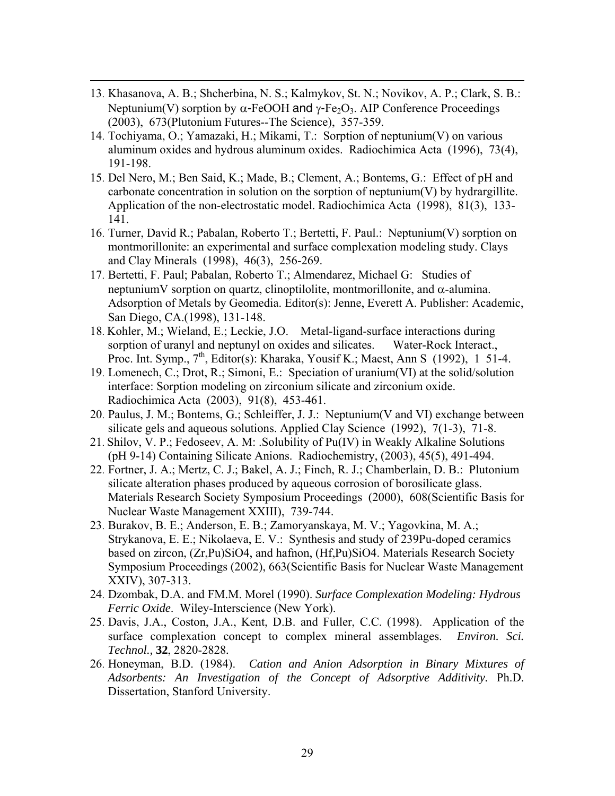13. Khasanova, A. B.; Shcherbina, N. S.; Kalmykov, St. N.; Novikov, A. P.; Clark, S. B.: Neptunium(V) sorption by  $\alpha$ -FeOOH and  $\gamma$ -Fe<sub>2</sub>O<sub>3</sub>. AIP Conference Proceedings (2003), 673(Plutonium Futures--The Science), 357-359.

 $\overline{a}$ 

- 14. Tochiyama, O.; Yamazaki, H.; Mikami, T.: Sorption of neptunium(V) on various aluminum oxides and hydrous aluminum oxides. Radiochimica Acta (1996), 73(4), 191-198.
- 15. Del Nero, M.; Ben Said, K.; Made, B.; Clement, A.; Bontems, G.: Effect of pH and carbonate concentration in solution on the sorption of neptunium(V) by hydrargillite. Application of the non-electrostatic model. Radiochimica Acta (1998), 81(3), 133- 141.
- 16. Turner, David R.; Pabalan, Roberto T.; Bertetti, F. Paul.: Neptunium(V) sorption on montmorillonite: an experimental and surface complexation modeling study. Clays and Clay Minerals (1998), 46(3), 256-269.
- 17. Bertetti, F. Paul; Pabalan, Roberto T.; Almendarez, Michael G: Studies of neptunium V sorption on quartz, clinoptilolite, montmorillonite, and  $\alpha$ -alumina. Adsorption of Metals by Geomedia. Editor(s): Jenne, Everett A. Publisher: Academic, San Diego, CA.(1998), 131-148.
- 18. Kohler, M.; Wieland, E.; Leckie, J.O. Metal-ligand-surface interactions during sorption of uranyl and neptunyl on oxides and silicates. Water-Rock Interact., Proc. Int. Symp.,  $7<sup>th</sup>$ , Editor(s): Kharaka, Yousif K.; Maest, Ann S (1992), 1 51-4.
- 19. Lomenech, C.; Drot, R.; Simoni, E.: Speciation of uranium(VI) at the solid/solution interface: Sorption modeling on zirconium silicate and zirconium oxide. Radiochimica Acta (2003), 91(8), 453-461.
- 20. Paulus, J. M.; Bontems, G.; Schleiffer, J. J.: Neptunium(V and VI) exchange between silicate gels and aqueous solutions. Applied Clay Science (1992), 7(1-3), 71-8.
- 21. Shilov, V. P.; Fedoseev, A. M: .Solubility of Pu(IV) in Weakly Alkaline Solutions (pH 9-14) Containing Silicate Anions. Radiochemistry, (2003), 45(5), 491-494.
- 22. Fortner, J. A.; Mertz, C. J.; Bakel, A. J.; Finch, R. J.; Chamberlain, D. B.: Plutonium silicate alteration phases produced by aqueous corrosion of borosilicate glass. Materials Research Society Symposium Proceedings (2000), 608(Scientific Basis for Nuclear Waste Management XXIII), 739-744.
- 23. Burakov, B. E.; Anderson, E. B.; Zamoryanskaya, M. V.; Yagovkina, M. A.; Strykanova, E. E.; Nikolaeva, E. V.: Synthesis and study of 239Pu-doped ceramics based on zircon, (Zr,Pu)SiO4, and hafnon, (Hf,Pu)SiO4. Materials Research Society Symposium Proceedings (2002), 663(Scientific Basis for Nuclear Waste Management XXIV), 307-313.
- 24. Dzombak, D.A. and FM.M. Morel (1990). *Surface Complexation Modeling: Hydrous Ferric Oxide*. Wiley-Interscience (New York).
- 25. Davis, J.A., Coston, J.A., Kent, D.B. and Fuller, C.C. (1998). Application of the surface complexation concept to complex mineral assemblages. *Environ. Sci. Technol.,* **32**, 2820-2828*.*
- 26. Honeyman, B.D. (1984). *Cation and Anion Adsorption in Binary Mixtures of Adsorbents: An Investigation of the Concept of Adsorptive Additivity.* Ph.D. Dissertation, Stanford University.